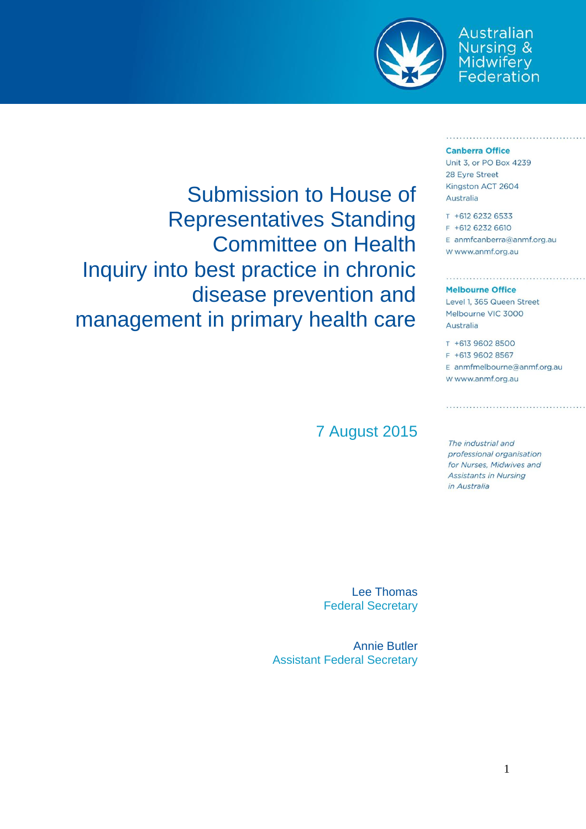

Australian Nursing &<br>Midwifery<br>Federation

### **Canberra Office**

Unit 3, or PO Box 4239 28 Eyre Street Kingston ACT 2604 Australia

T +612 6232 6533 F +612 6232 6610 E anmfcanberra@anmf.org.au w www.anmf.org.au

### **Melbourne Office**

Level 1, 365 Queen Street Melbourne VIC 3000 Australia

T +613 9602 8500 F +613 9602 8567 E anmfmelbourne@anmf.org.au w www.anmf.org.au

The industrial and professional organisation for Nurses, Midwives and **Assistants in Nursing** in Australia

Submission to House of Representatives Standing Committee on Health Inquiry into best practice in chronic disease prevention and management in primary health care

# 7 August 2015

Lee Thomas Federal Secretary

Annie Butler Assistant Federal Secretary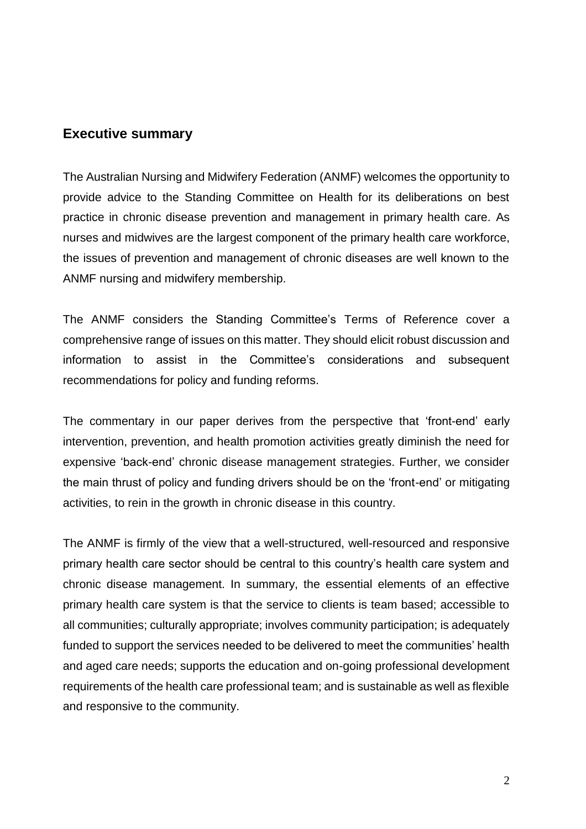# **Executive summary**

The Australian Nursing and Midwifery Federation (ANMF) welcomes the opportunity to provide advice to the Standing Committee on Health for its deliberations on best practice in chronic disease prevention and management in primary health care. As nurses and midwives are the largest component of the primary health care workforce, the issues of prevention and management of chronic diseases are well known to the ANMF nursing and midwifery membership.

The ANMF considers the Standing Committee's Terms of Reference cover a comprehensive range of issues on this matter. They should elicit robust discussion and information to assist in the Committee's considerations and subsequent recommendations for policy and funding reforms.

The commentary in our paper derives from the perspective that 'front-end' early intervention, prevention, and health promotion activities greatly diminish the need for expensive 'back-end' chronic disease management strategies. Further, we consider the main thrust of policy and funding drivers should be on the 'front-end' or mitigating activities, to rein in the growth in chronic disease in this country.

The ANMF is firmly of the view that a well-structured, well-resourced and responsive primary health care sector should be central to this country's health care system and chronic disease management. In summary, the essential elements of an effective primary health care system is that the service to clients is team based; accessible to all communities; culturally appropriate; involves community participation; is adequately funded to support the services needed to be delivered to meet the communities' health and aged care needs; supports the education and on-going professional development requirements of the health care professional team; and is sustainable as well as flexible and responsive to the community.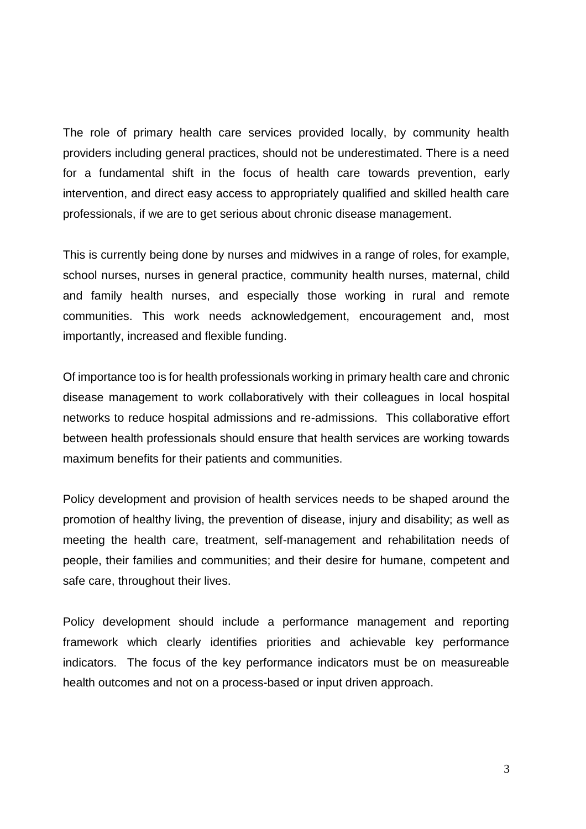The role of primary health care services provided locally, by community health providers including general practices, should not be underestimated. There is a need for a fundamental shift in the focus of health care towards prevention, early intervention, and direct easy access to appropriately qualified and skilled health care professionals, if we are to get serious about chronic disease management.

This is currently being done by nurses and midwives in a range of roles, for example, school nurses, nurses in general practice, community health nurses, maternal, child and family health nurses, and especially those working in rural and remote communities. This work needs acknowledgement, encouragement and, most importantly, increased and flexible funding.

Of importance too is for health professionals working in primary health care and chronic disease management to work collaboratively with their colleagues in local hospital networks to reduce hospital admissions and re-admissions. This collaborative effort between health professionals should ensure that health services are working towards maximum benefits for their patients and communities.

Policy development and provision of health services needs to be shaped around the promotion of healthy living, the prevention of disease, injury and disability; as well as meeting the health care, treatment, self-management and rehabilitation needs of people, their families and communities; and their desire for humane, competent and safe care, throughout their lives.

Policy development should include a performance management and reporting framework which clearly identifies priorities and achievable key performance indicators. The focus of the key performance indicators must be on measureable health outcomes and not on a process-based or input driven approach.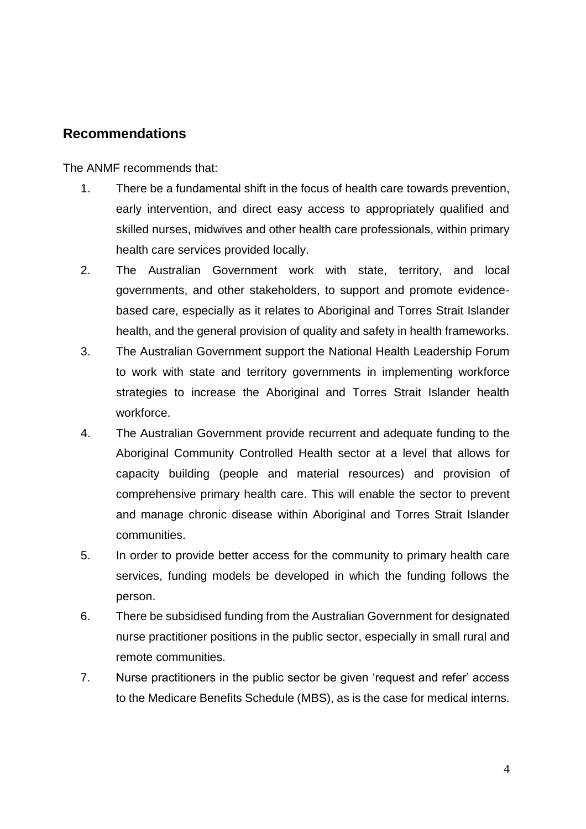# **Recommendations**

The ANMF recommends that:

- 1. There be a fundamental shift in the focus of health care towards prevention, early intervention, and direct easy access to appropriately qualified and skilled nurses, midwives and other health care professionals, within primary health care services provided locally.
- 2. The Australian Government work with state, territory, and local governments, and other stakeholders, to support and promote evidencebased care, especially as it relates to Aboriginal and Torres Strait Islander health, and the general provision of quality and safety in health frameworks.
- 3. The Australian Government support the National Health Leadership Forum to work with state and territory governments in implementing workforce strategies to increase the Aboriginal and Torres Strait Islander health workforce.
- 4. The Australian Government provide recurrent and adequate funding to the Aboriginal Community Controlled Health sector at a level that allows for capacity building (people and material resources) and provision of comprehensive primary health care. This will enable the sector to prevent and manage chronic disease within Aboriginal and Torres Strait Islander communities.
- 5. In order to provide better access for the community to primary health care services, funding models be developed in which the funding follows the person.
- 6. There be subsidised funding from the Australian Government for designated nurse practitioner positions in the public sector, especially in small rural and remote communities.
- 7. Nurse practitioners in the public sector be given 'request and refer' access to the Medicare Benefits Schedule (MBS), as is the case for medical interns.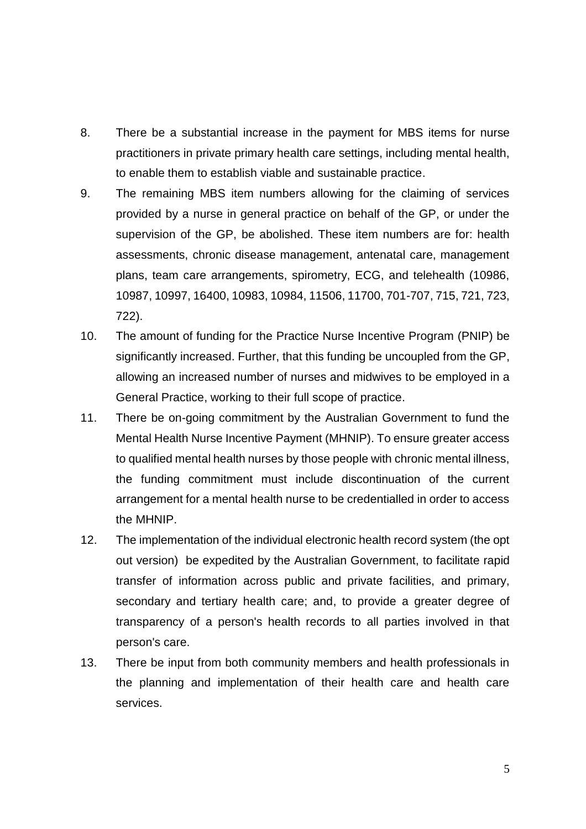- 8. There be a substantial increase in the payment for MBS items for nurse practitioners in private primary health care settings, including mental health, to enable them to establish viable and sustainable practice.
- 9. The remaining MBS item numbers allowing for the claiming of services provided by a nurse in general practice on behalf of the GP, or under the supervision of the GP, be abolished. These item numbers are for: health assessments, chronic disease management, antenatal care, management plans, team care arrangements, spirometry, ECG, and telehealth (10986, 10987, 10997, 16400, 10983, 10984, 11506, 11700, 701-707, 715, 721, 723, 722).
- 10. The amount of funding for the Practice Nurse Incentive Program (PNIP) be significantly increased. Further, that this funding be uncoupled from the GP, allowing an increased number of nurses and midwives to be employed in a General Practice, working to their full scope of practice.
- 11. There be on-going commitment by the Australian Government to fund the Mental Health Nurse Incentive Payment (MHNIP). To ensure greater access to qualified mental health nurses by those people with chronic mental illness, the funding commitment must include discontinuation of the current arrangement for a mental health nurse to be credentialled in order to access the MHNIP.
- 12. The implementation of the individual electronic health record system (the opt out version) be expedited by the Australian Government, to facilitate rapid transfer of information across public and private facilities, and primary, secondary and tertiary health care; and, to provide a greater degree of transparency of a person's health records to all parties involved in that person's care.
- 13. There be input from both community members and health professionals in the planning and implementation of their health care and health care services.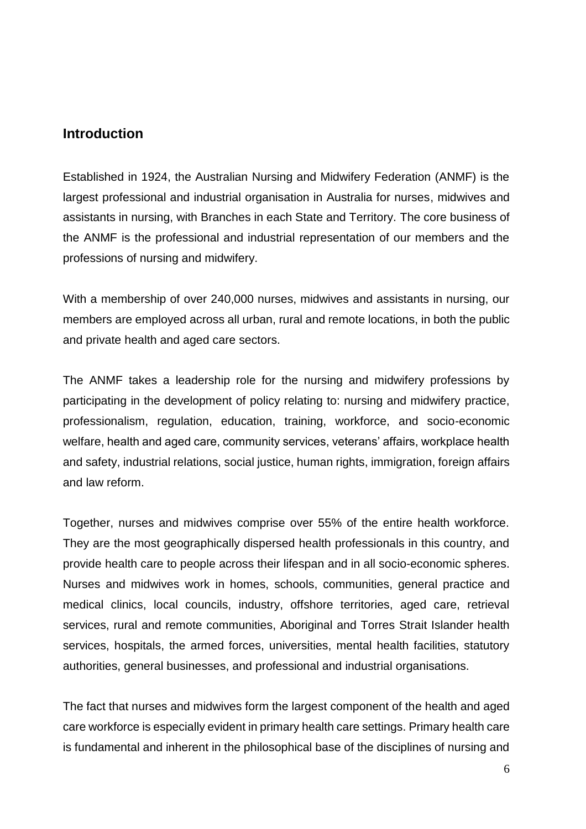# **Introduction**

Established in 1924, the Australian Nursing and Midwifery Federation (ANMF) is the largest professional and industrial organisation in Australia for nurses, midwives and assistants in nursing, with Branches in each State and Territory. The core business of the ANMF is the professional and industrial representation of our members and the professions of nursing and midwifery.

With a membership of over 240,000 nurses, midwives and assistants in nursing, our members are employed across all urban, rural and remote locations, in both the public and private health and aged care sectors.

The ANMF takes a leadership role for the nursing and midwifery professions by participating in the development of policy relating to: nursing and midwifery practice, professionalism, regulation, education, training, workforce, and socio-economic welfare, health and aged care, community services, veterans' affairs, workplace health and safety, industrial relations, social justice, human rights, immigration, foreign affairs and law reform.

Together, nurses and midwives comprise over 55% of the entire health workforce. They are the most geographically dispersed health professionals in this country, and provide health care to people across their lifespan and in all socio-economic spheres. Nurses and midwives work in homes, schools, communities, general practice and medical clinics, local councils, industry, offshore territories, aged care, retrieval services, rural and remote communities, Aboriginal and Torres Strait Islander health services, hospitals, the armed forces, universities, mental health facilities, statutory authorities, general businesses, and professional and industrial organisations.

The fact that nurses and midwives form the largest component of the health and aged care workforce is especially evident in primary health care settings. Primary health care is fundamental and inherent in the philosophical base of the disciplines of nursing and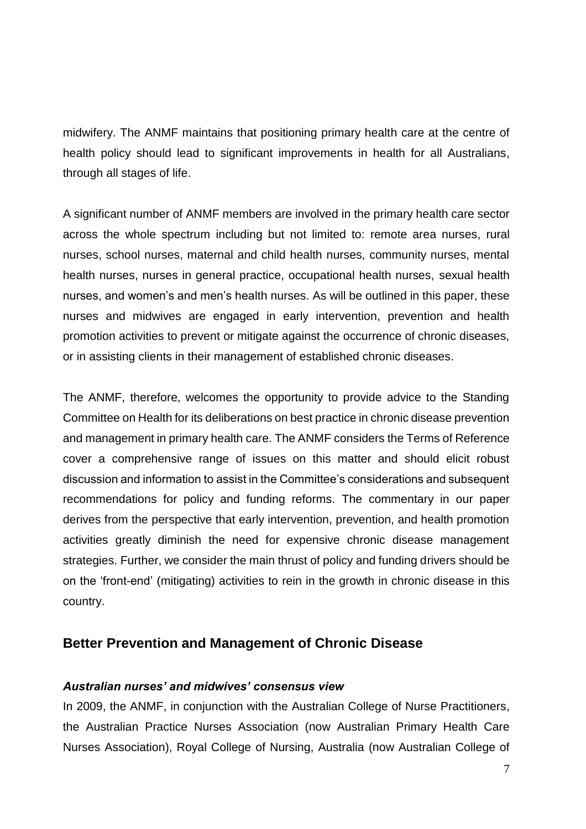midwifery. The ANMF maintains that positioning primary health care at the centre of health policy should lead to significant improvements in health for all Australians, through all stages of life.

A significant number of ANMF members are involved in the primary health care sector across the whole spectrum including but not limited to: remote area nurses, rural nurses, school nurses, maternal and child health nurses, community nurses, mental health nurses, nurses in general practice, occupational health nurses, sexual health nurses, and women's and men's health nurses. As will be outlined in this paper, these nurses and midwives are engaged in early intervention, prevention and health promotion activities to prevent or mitigate against the occurrence of chronic diseases, or in assisting clients in their management of established chronic diseases.

The ANMF, therefore, welcomes the opportunity to provide advice to the Standing Committee on Health for its deliberations on best practice in chronic disease prevention and management in primary health care. The ANMF considers the Terms of Reference cover a comprehensive range of issues on this matter and should elicit robust discussion and information to assist in the Committee's considerations and subsequent recommendations for policy and funding reforms. The commentary in our paper derives from the perspective that early intervention, prevention, and health promotion activities greatly diminish the need for expensive chronic disease management strategies. Further, we consider the main thrust of policy and funding drivers should be on the 'front-end' (mitigating) activities to rein in the growth in chronic disease in this country.

# **Better Prevention and Management of Chronic Disease**

### *Australian nurses' and midwives' consensus view*

In 2009, the ANMF, in conjunction with the Australian College of Nurse Practitioners, the Australian Practice Nurses Association (now Australian Primary Health Care Nurses Association), Royal College of Nursing, Australia (now Australian College of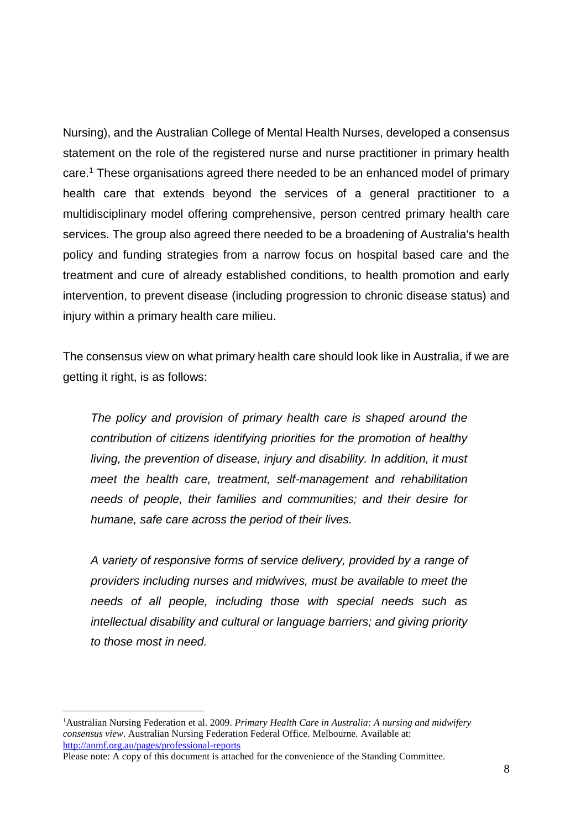Nursing), and the Australian College of Mental Health Nurses, developed a consensus statement on the role of the registered nurse and nurse practitioner in primary health care.<sup>1</sup> These organisations agreed there needed to be an enhanced model of primary health care that extends beyond the services of a general practitioner to a multidisciplinary model offering comprehensive, person centred primary health care services. The group also agreed there needed to be a broadening of Australia's health policy and funding strategies from a narrow focus on hospital based care and the treatment and cure of already established conditions, to health promotion and early intervention, to prevent disease (including progression to chronic disease status) and injury within a primary health care milieu.

The consensus view on what primary health care should look like in Australia, if we are getting it right, is as follows:

*The policy and provision of primary health care is shaped around the contribution of citizens identifying priorities for the promotion of healthy living, the prevention of disease, injury and disability. In addition, it must meet the health care, treatment, self-management and rehabilitation needs of people, their families and communities; and their desire for humane, safe care across the period of their lives.*

*A variety of responsive forms of service delivery, provided by a range of providers including nurses and midwives, must be available to meet the needs of all people, including those with special needs such as intellectual disability and cultural or language barriers; and giving priority to those most in need.*

 $\overline{a}$ 

<sup>1</sup>Australian Nursing Federation et al. 2009. *Primary Health Care in Australia: A nursing and midwifery consensus view*. Australian Nursing Federation Federal Office. Melbourne. Available at: <http://anmf.org.au/pages/professional-reports>

Please note: A copy of this document is attached for the convenience of the Standing Committee.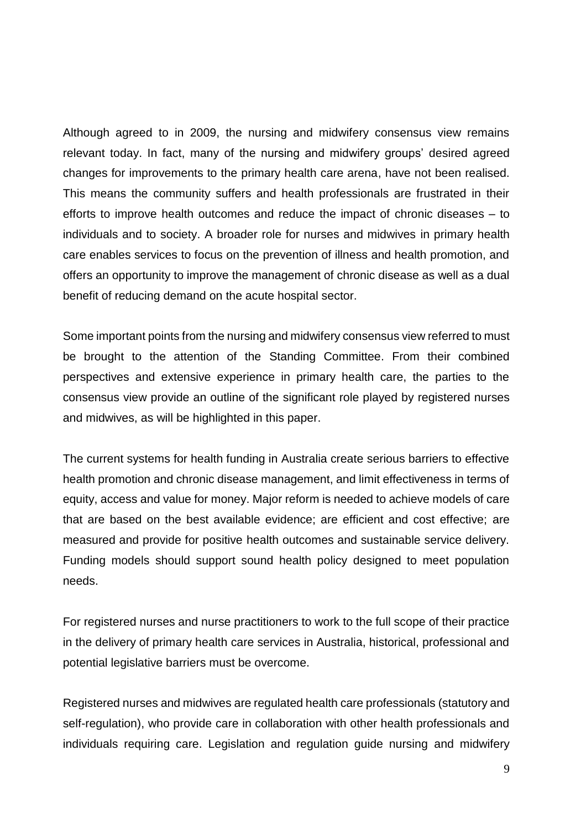Although agreed to in 2009, the nursing and midwifery consensus view remains relevant today. In fact, many of the nursing and midwifery groups' desired agreed changes for improvements to the primary health care arena, have not been realised. This means the community suffers and health professionals are frustrated in their efforts to improve health outcomes and reduce the impact of chronic diseases – to individuals and to society. A broader role for nurses and midwives in primary health care enables services to focus on the prevention of illness and health promotion, and offers an opportunity to improve the management of chronic disease as well as a dual benefit of reducing demand on the acute hospital sector.

Some important points from the nursing and midwifery consensus view referred to must be brought to the attention of the Standing Committee. From their combined perspectives and extensive experience in primary health care, the parties to the consensus view provide an outline of the significant role played by registered nurses and midwives, as will be highlighted in this paper.

The current systems for health funding in Australia create serious barriers to effective health promotion and chronic disease management, and limit effectiveness in terms of equity, access and value for money. Major reform is needed to achieve models of care that are based on the best available evidence; are efficient and cost effective; are measured and provide for positive health outcomes and sustainable service delivery. Funding models should support sound health policy designed to meet population needs.

For registered nurses and nurse practitioners to work to the full scope of their practice in the delivery of primary health care services in Australia, historical, professional and potential legislative barriers must be overcome.

Registered nurses and midwives are regulated health care professionals (statutory and self-regulation), who provide care in collaboration with other health professionals and individuals requiring care. Legislation and regulation guide nursing and midwifery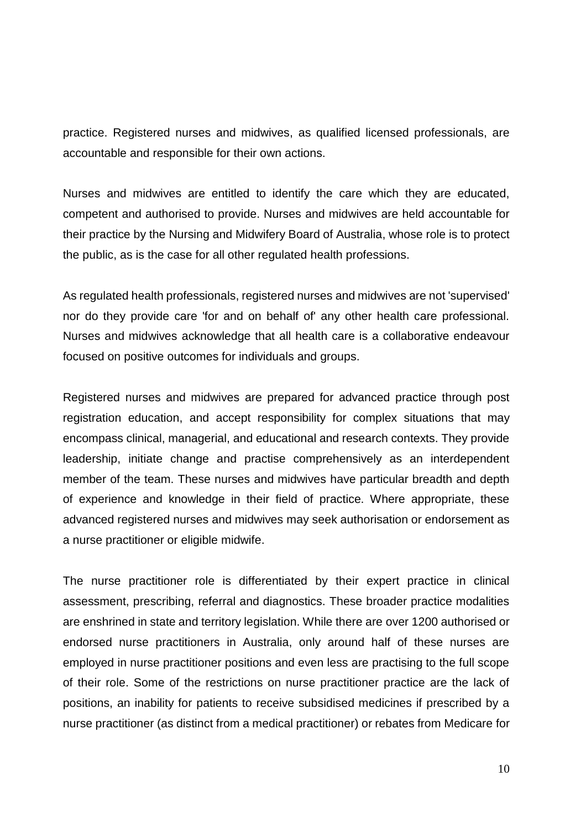practice. Registered nurses and midwives, as qualified licensed professionals, are accountable and responsible for their own actions.

Nurses and midwives are entitled to identify the care which they are educated, competent and authorised to provide. Nurses and midwives are held accountable for their practice by the Nursing and Midwifery Board of Australia, whose role is to protect the public, as is the case for all other regulated health professions.

As regulated health professionals, registered nurses and midwives are not 'supervised' nor do they provide care 'for and on behalf of' any other health care professional. Nurses and midwives acknowledge that all health care is a collaborative endeavour focused on positive outcomes for individuals and groups.

Registered nurses and midwives are prepared for advanced practice through post registration education, and accept responsibility for complex situations that may encompass clinical, managerial, and educational and research contexts. They provide leadership, initiate change and practise comprehensively as an interdependent member of the team. These nurses and midwives have particular breadth and depth of experience and knowledge in their field of practice. Where appropriate, these advanced registered nurses and midwives may seek authorisation or endorsement as a nurse practitioner or eligible midwife.

The nurse practitioner role is differentiated by their expert practice in clinical assessment, prescribing, referral and diagnostics. These broader practice modalities are enshrined in state and territory legislation. While there are over 1200 authorised or endorsed nurse practitioners in Australia, only around half of these nurses are employed in nurse practitioner positions and even less are practising to the full scope of their role. Some of the restrictions on nurse practitioner practice are the lack of positions, an inability for patients to receive subsidised medicines if prescribed by a nurse practitioner (as distinct from a medical practitioner) or rebates from Medicare for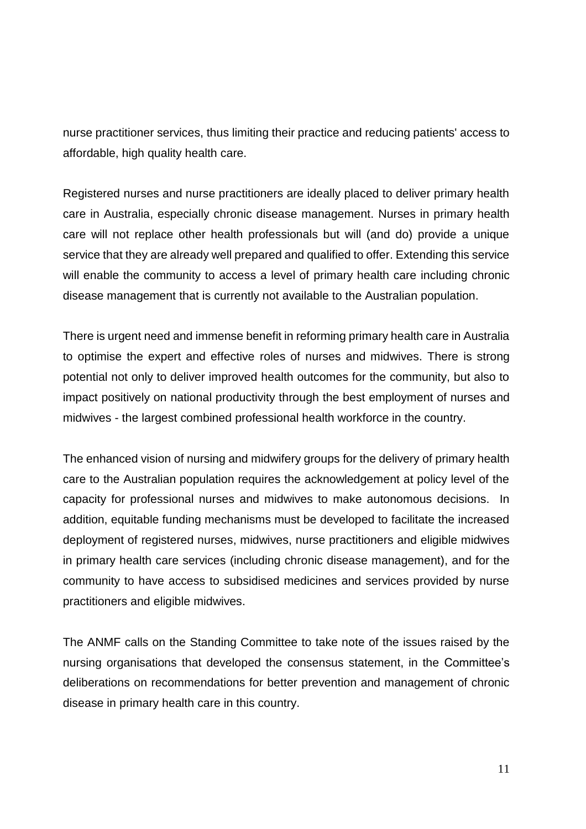nurse practitioner services, thus limiting their practice and reducing patients' access to affordable, high quality health care.

Registered nurses and nurse practitioners are ideally placed to deliver primary health care in Australia, especially chronic disease management. Nurses in primary health care will not replace other health professionals but will (and do) provide a unique service that they are already well prepared and qualified to offer. Extending this service will enable the community to access a level of primary health care including chronic disease management that is currently not available to the Australian population.

There is urgent need and immense benefit in reforming primary health care in Australia to optimise the expert and effective roles of nurses and midwives. There is strong potential not only to deliver improved health outcomes for the community, but also to impact positively on national productivity through the best employment of nurses and midwives - the largest combined professional health workforce in the country.

The enhanced vision of nursing and midwifery groups for the delivery of primary health care to the Australian population requires the acknowledgement at policy level of the capacity for professional nurses and midwives to make autonomous decisions. In addition, equitable funding mechanisms must be developed to facilitate the increased deployment of registered nurses, midwives, nurse practitioners and eligible midwives in primary health care services (including chronic disease management), and for the community to have access to subsidised medicines and services provided by nurse practitioners and eligible midwives.

The ANMF calls on the Standing Committee to take note of the issues raised by the nursing organisations that developed the consensus statement, in the Committee's deliberations on recommendations for better prevention and management of chronic disease in primary health care in this country.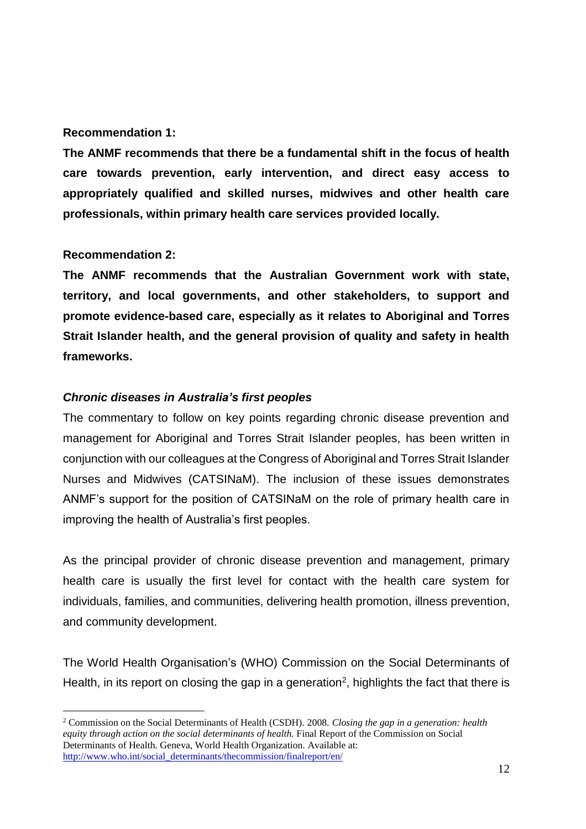### **Recommendation 1:**

**The ANMF recommends that there be a fundamental shift in the focus of health care towards prevention, early intervention, and direct easy access to appropriately qualified and skilled nurses, midwives and other health care professionals, within primary health care services provided locally.**

# **Recommendation 2:**

 $\overline{a}$ 

**The ANMF recommends that the Australian Government work with state, territory, and local governments, and other stakeholders, to support and promote evidence-based care, especially as it relates to Aboriginal and Torres Strait Islander health, and the general provision of quality and safety in health frameworks.**

### *Chronic diseases in Australia's first peoples*

The commentary to follow on key points regarding chronic disease prevention and management for Aboriginal and Torres Strait Islander peoples, has been written in conjunction with our colleagues at the Congress of Aboriginal and Torres Strait Islander Nurses and Midwives (CATSINaM). The inclusion of these issues demonstrates ANMF's support for the position of CATSINaM on the role of primary health care in improving the health of Australia's first peoples.

As the principal provider of chronic disease prevention and management, primary health care is usually the first level for contact with the health care system for individuals, families, and communities, delivering health promotion, illness prevention, and community development.

The World Health Organisation's (WHO) Commission on the Social Determinants of Health, in its report on closing the gap in a generation<sup>2</sup>, highlights the fact that there is

<sup>2</sup> Commission on the Social Determinants of Health (CSDH). 2008. *Closing the gap in a generation: health equity through action on the social determinants of health.* Final Report of the Commission on Social Determinants of Health. Geneva, World Health Organization. Available at: [http://www.who.int/social\\_determinants/thecommission/finalreport/en/](http://www.who.int/social_determinants/thecommission/finalreport/en/)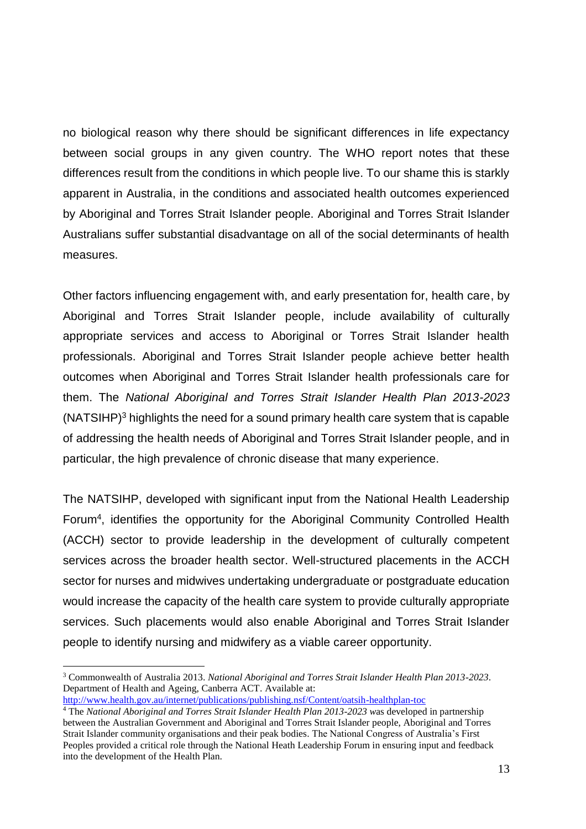no biological reason why there should be significant differences in life expectancy between social groups in any given country. The WHO report notes that these differences result from the conditions in which people live. To our shame this is starkly apparent in Australia, in the conditions and associated health outcomes experienced by Aboriginal and Torres Strait Islander people. Aboriginal and Torres Strait Islander Australians suffer substantial disadvantage on all of the social determinants of health measures.

Other factors influencing engagement with, and early presentation for, health care, by Aboriginal and Torres Strait Islander people, include availability of culturally appropriate services and access to Aboriginal or Torres Strait Islander health professionals. Aboriginal and Torres Strait Islander people achieve better health outcomes when Aboriginal and Torres Strait Islander health professionals care for them. The *National Aboriginal and Torres Strait Islander Health Plan 2013-2023* (NATSIHP)<sup>3</sup> highlights the need for a sound primary health care system that is capable of addressing the health needs of Aboriginal and Torres Strait Islander people, and in particular, the high prevalence of chronic disease that many experience.

The NATSIHP, developed with significant input from the National Health Leadership Forum<sup>4</sup>, identifies the opportunity for the Aboriginal Community Controlled Health (ACCH) sector to provide leadership in the development of culturally competent services across the broader health sector. Well-structured placements in the ACCH sector for nurses and midwives undertaking undergraduate or postgraduate education would increase the capacity of the health care system to provide culturally appropriate services. Such placements would also enable Aboriginal and Torres Strait Islander people to identify nursing and midwifery as a viable career opportunity.

<http://www.health.gov.au/internet/publications/publishing.nsf/Content/oatsih-healthplan-toc>

 $\overline{a}$ 

<sup>3</sup> Commonwealth of Australia 2013. *National Aboriginal and Torres Strait Islander Health Plan 2013-2023*. Department of Health and Ageing, Canberra ACT. Available at:

<sup>4</sup> The *National Aboriginal and Torres Strait Islander Health Plan 2013-2023 w*as developed in partnership between the Australian Government and Aboriginal and Torres Strait Islander people, Aboriginal and Torres Strait Islander community organisations and their peak bodies. The National Congress of Australia's First Peoples provided a critical role through the National Heath Leadership Forum in ensuring input and feedback into the development of the Health Plan.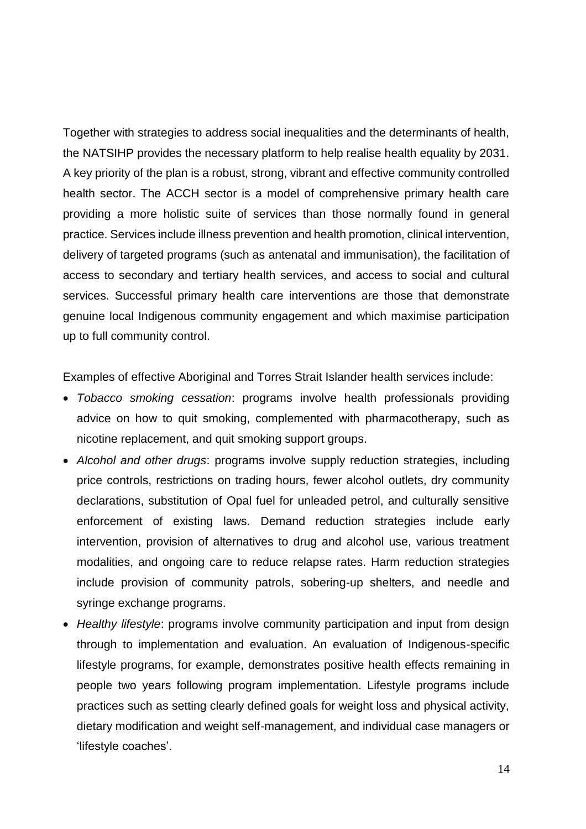Together with strategies to address social inequalities and the determinants of health, the NATSIHP provides the necessary platform to help realise health equality by 2031. A key priority of the plan is a robust, strong, vibrant and effective community controlled health sector. The ACCH sector is a model of comprehensive primary health care providing a more holistic suite of services than those normally found in general practice. Services include illness prevention and health promotion, clinical intervention, delivery of targeted programs (such as antenatal and immunisation), the facilitation of access to secondary and tertiary health services, and access to social and cultural services. Successful primary health care interventions are those that demonstrate genuine local Indigenous community engagement and which maximise participation up to full community control.

Examples of effective Aboriginal and Torres Strait Islander health services include:

- *Tobacco smoking cessation*: programs involve health professionals providing advice on how to quit smoking, complemented with pharmacotherapy, such as nicotine replacement, and quit smoking support groups.
- *Alcohol and other drugs*: programs involve supply reduction strategies, including price controls, restrictions on trading hours, fewer alcohol outlets, dry community declarations, substitution of Opal fuel for unleaded petrol, and culturally sensitive enforcement of existing laws. Demand reduction strategies include early intervention, provision of alternatives to drug and alcohol use, various treatment modalities, and ongoing care to reduce relapse rates. Harm reduction strategies include provision of community patrols, sobering-up shelters, and needle and syringe exchange programs.
- *Healthy lifestyle*: programs involve community participation and input from design through to implementation and evaluation. An evaluation of Indigenous-specific lifestyle programs, for example, demonstrates positive health effects remaining in people two years following program implementation. Lifestyle programs include practices such as setting clearly defined goals for weight loss and physical activity, dietary modification and weight self-management, and individual case managers or 'lifestyle coaches'.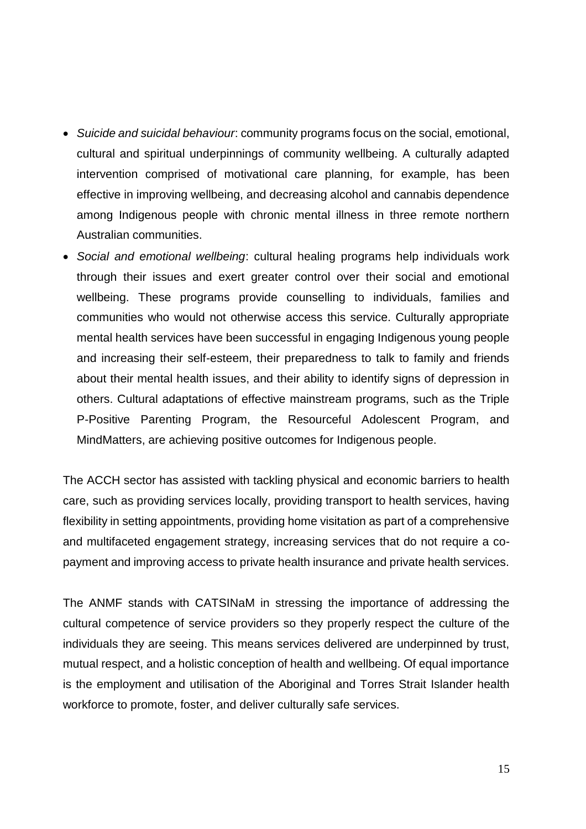- *Suicide and suicidal behaviour*: community programs focus on the social, emotional, cultural and spiritual underpinnings of community wellbeing. A culturally adapted intervention comprised of motivational care planning, for example, has been effective in improving wellbeing, and decreasing alcohol and cannabis dependence among Indigenous people with chronic mental illness in three remote northern Australian communities.
- *Social and emotional wellbeing*: cultural healing programs help individuals work through their issues and exert greater control over their social and emotional wellbeing. These programs provide counselling to individuals, families and communities who would not otherwise access this service. Culturally appropriate mental health services have been successful in engaging Indigenous young people and increasing their self-esteem, their preparedness to talk to family and friends about their mental health issues, and their ability to identify signs of depression in others. Cultural adaptations of effective mainstream programs, such as the Triple P-Positive Parenting Program, the Resourceful Adolescent Program, and MindMatters, are achieving positive outcomes for Indigenous people.

The ACCH sector has assisted with tackling physical and economic barriers to health care, such as providing services locally, providing transport to health services, having flexibility in setting appointments, providing home visitation as part of a comprehensive and multifaceted engagement strategy, increasing services that do not require a copayment and improving access to private health insurance and private health services.

The ANMF stands with CATSINaM in stressing the importance of addressing the cultural competence of service providers so they properly respect the culture of the individuals they are seeing. This means services delivered are underpinned by trust, mutual respect, and a holistic conception of health and wellbeing. Of equal importance is the employment and utilisation of the Aboriginal and Torres Strait Islander health workforce to promote, foster, and deliver culturally safe services.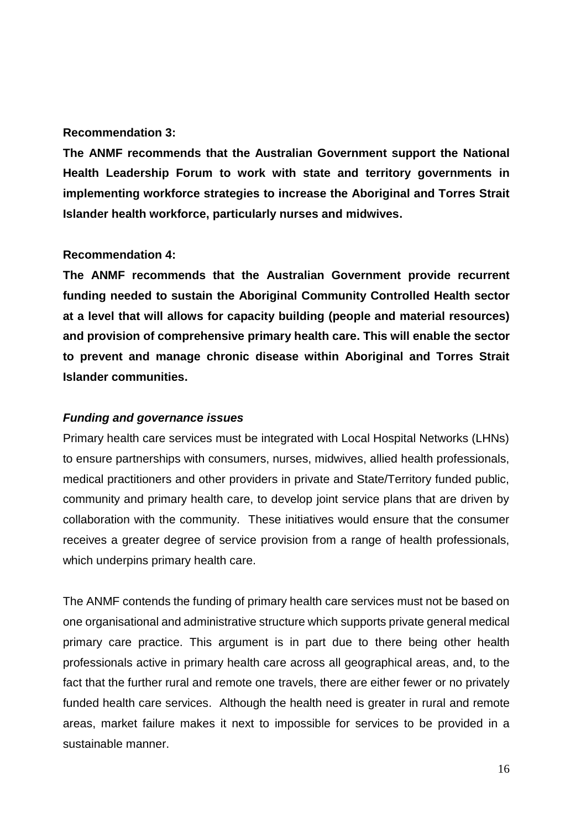### **Recommendation 3:**

**The ANMF recommends that the Australian Government support the National Health Leadership Forum to work with state and territory governments in implementing workforce strategies to increase the Aboriginal and Torres Strait Islander health workforce, particularly nurses and midwives.**

### **Recommendation 4:**

**The ANMF recommends that the Australian Government provide recurrent funding needed to sustain the Aboriginal Community Controlled Health sector at a level that will allows for capacity building (people and material resources) and provision of comprehensive primary health care. This will enable the sector to prevent and manage chronic disease within Aboriginal and Torres Strait Islander communities.**

### *Funding and governance issues*

Primary health care services must be integrated with Local Hospital Networks (LHNs) to ensure partnerships with consumers, nurses, midwives, allied health professionals, medical practitioners and other providers in private and State/Territory funded public, community and primary health care, to develop joint service plans that are driven by collaboration with the community. These initiatives would ensure that the consumer receives a greater degree of service provision from a range of health professionals, which underpins primary health care.

The ANMF contends the funding of primary health care services must not be based on one organisational and administrative structure which supports private general medical primary care practice. This argument is in part due to there being other health professionals active in primary health care across all geographical areas, and, to the fact that the further rural and remote one travels, there are either fewer or no privately funded health care services. Although the health need is greater in rural and remote areas, market failure makes it next to impossible for services to be provided in a sustainable manner.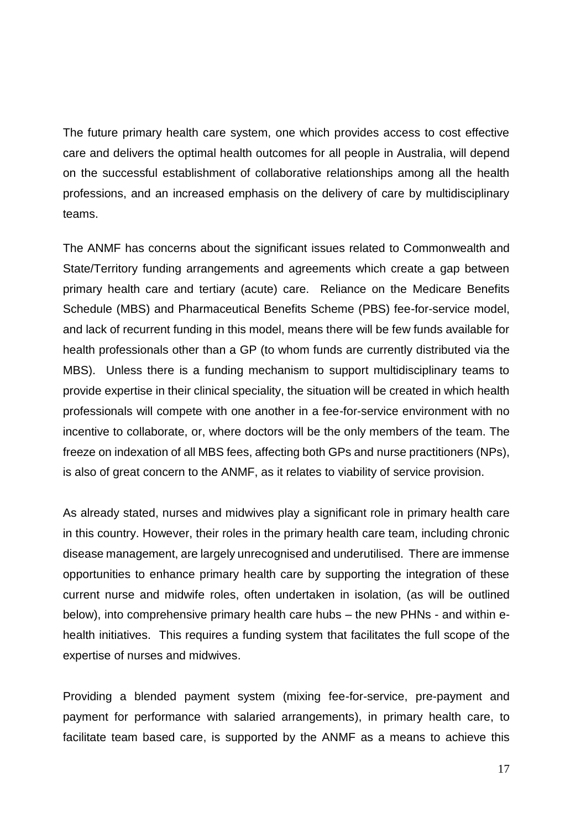The future primary health care system, one which provides access to cost effective care and delivers the optimal health outcomes for all people in Australia, will depend on the successful establishment of collaborative relationships among all the health professions, and an increased emphasis on the delivery of care by multidisciplinary teams.

The ANMF has concerns about the significant issues related to Commonwealth and State/Territory funding arrangements and agreements which create a gap between primary health care and tertiary (acute) care. Reliance on the Medicare Benefits Schedule (MBS) and Pharmaceutical Benefits Scheme (PBS) fee-for-service model, and lack of recurrent funding in this model, means there will be few funds available for health professionals other than a GP (to whom funds are currently distributed via the MBS). Unless there is a funding mechanism to support multidisciplinary teams to provide expertise in their clinical speciality, the situation will be created in which health professionals will compete with one another in a fee-for-service environment with no incentive to collaborate, or, where doctors will be the only members of the team. The freeze on indexation of all MBS fees, affecting both GPs and nurse practitioners (NPs), is also of great concern to the ANMF, as it relates to viability of service provision.

As already stated, nurses and midwives play a significant role in primary health care in this country. However, their roles in the primary health care team, including chronic disease management, are largely unrecognised and underutilised. There are immense opportunities to enhance primary health care by supporting the integration of these current nurse and midwife roles, often undertaken in isolation, (as will be outlined below), into comprehensive primary health care hubs – the new PHNs - and within ehealth initiatives. This requires a funding system that facilitates the full scope of the expertise of nurses and midwives.

Providing a blended payment system (mixing fee-for-service, pre-payment and payment for performance with salaried arrangements), in primary health care, to facilitate team based care, is supported by the ANMF as a means to achieve this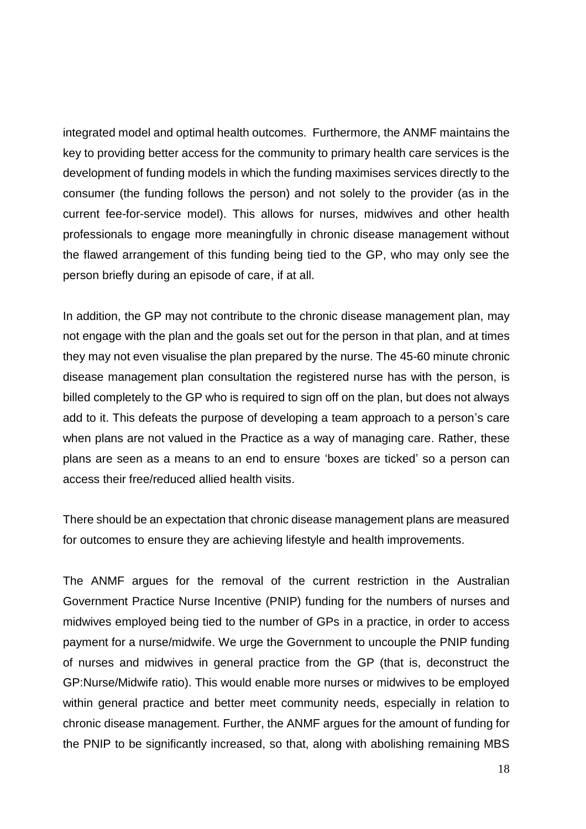integrated model and optimal health outcomes. Furthermore, the ANMF maintains the key to providing better access for the community to primary health care services is the development of funding models in which the funding maximises services directly to the consumer (the funding follows the person) and not solely to the provider (as in the current fee-for-service model). This allows for nurses, midwives and other health professionals to engage more meaningfully in chronic disease management without the flawed arrangement of this funding being tied to the GP, who may only see the person briefly during an episode of care, if at all.

In addition, the GP may not contribute to the chronic disease management plan, may not engage with the plan and the goals set out for the person in that plan, and at times they may not even visualise the plan prepared by the nurse. The 45-60 minute chronic disease management plan consultation the registered nurse has with the person, is billed completely to the GP who is required to sign off on the plan, but does not always add to it. This defeats the purpose of developing a team approach to a person's care when plans are not valued in the Practice as a way of managing care. Rather, these plans are seen as a means to an end to ensure 'boxes are ticked' so a person can access their free/reduced allied health visits.

There should be an expectation that chronic disease management plans are measured for outcomes to ensure they are achieving lifestyle and health improvements.

The ANMF argues for the removal of the current restriction in the Australian Government Practice Nurse Incentive (PNIP) funding for the numbers of nurses and midwives employed being tied to the number of GPs in a practice, in order to access payment for a nurse/midwife. We urge the Government to uncouple the PNIP funding of nurses and midwives in general practice from the GP (that is, deconstruct the GP:Nurse/Midwife ratio). This would enable more nurses or midwives to be employed within general practice and better meet community needs, especially in relation to chronic disease management. Further, the ANMF argues for the amount of funding for the PNIP to be significantly increased, so that, along with abolishing remaining MBS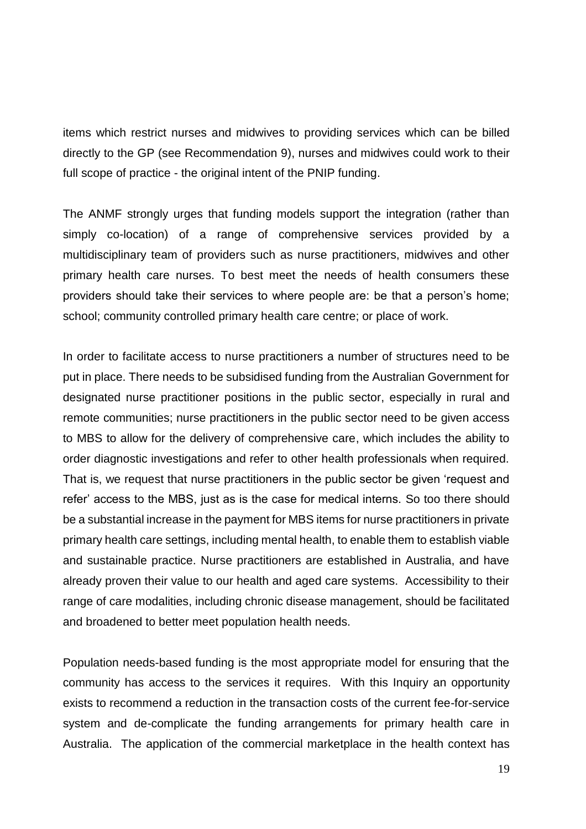items which restrict nurses and midwives to providing services which can be billed directly to the GP (see Recommendation 9), nurses and midwives could work to their full scope of practice - the original intent of the PNIP funding.

The ANMF strongly urges that funding models support the integration (rather than simply co-location) of a range of comprehensive services provided by a multidisciplinary team of providers such as nurse practitioners, midwives and other primary health care nurses. To best meet the needs of health consumers these providers should take their services to where people are: be that a person's home; school; community controlled primary health care centre; or place of work.

In order to facilitate access to nurse practitioners a number of structures need to be put in place. There needs to be subsidised funding from the Australian Government for designated nurse practitioner positions in the public sector, especially in rural and remote communities; nurse practitioners in the public sector need to be given access to MBS to allow for the delivery of comprehensive care, which includes the ability to order diagnostic investigations and refer to other health professionals when required. That is, we request that nurse practitioners in the public sector be given 'request and refer' access to the MBS, just as is the case for medical interns. So too there should be a substantial increase in the payment for MBS items for nurse practitioners in private primary health care settings, including mental health, to enable them to establish viable and sustainable practice. Nurse practitioners are established in Australia, and have already proven their value to our health and aged care systems. Accessibility to their range of care modalities, including chronic disease management, should be facilitated and broadened to better meet population health needs.

Population needs-based funding is the most appropriate model for ensuring that the community has access to the services it requires. With this Inquiry an opportunity exists to recommend a reduction in the transaction costs of the current fee-for-service system and de-complicate the funding arrangements for primary health care in Australia. The application of the commercial marketplace in the health context has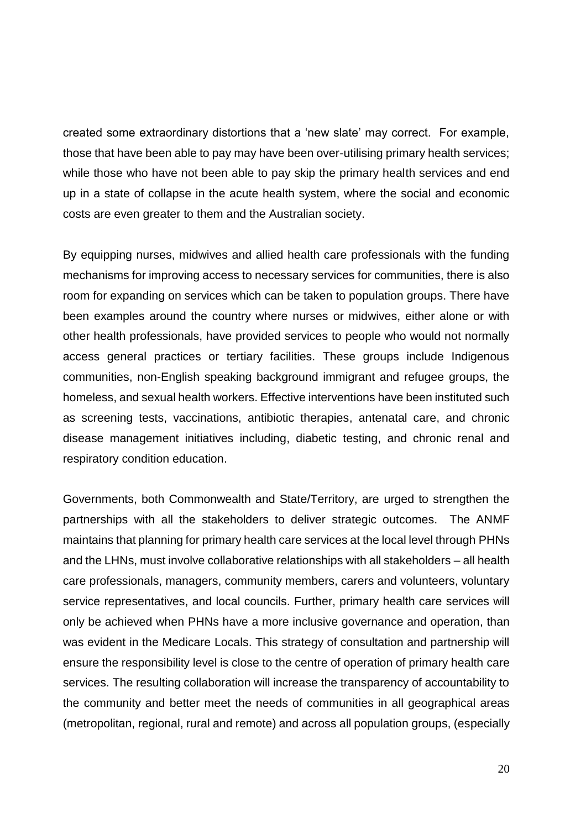created some extraordinary distortions that a 'new slate' may correct. For example, those that have been able to pay may have been over-utilising primary health services; while those who have not been able to pay skip the primary health services and end up in a state of collapse in the acute health system, where the social and economic costs are even greater to them and the Australian society.

By equipping nurses, midwives and allied health care professionals with the funding mechanisms for improving access to necessary services for communities, there is also room for expanding on services which can be taken to population groups. There have been examples around the country where nurses or midwives, either alone or with other health professionals, have provided services to people who would not normally access general practices or tertiary facilities. These groups include Indigenous communities, non-English speaking background immigrant and refugee groups, the homeless, and sexual health workers. Effective interventions have been instituted such as screening tests, vaccinations, antibiotic therapies, antenatal care, and chronic disease management initiatives including, diabetic testing, and chronic renal and respiratory condition education.

Governments, both Commonwealth and State/Territory, are urged to strengthen the partnerships with all the stakeholders to deliver strategic outcomes. The ANMF maintains that planning for primary health care services at the local level through PHNs and the LHNs, must involve collaborative relationships with all stakeholders – all health care professionals, managers, community members, carers and volunteers, voluntary service representatives, and local councils. Further, primary health care services will only be achieved when PHNs have a more inclusive governance and operation, than was evident in the Medicare Locals. This strategy of consultation and partnership will ensure the responsibility level is close to the centre of operation of primary health care services. The resulting collaboration will increase the transparency of accountability to the community and better meet the needs of communities in all geographical areas (metropolitan, regional, rural and remote) and across all population groups, (especially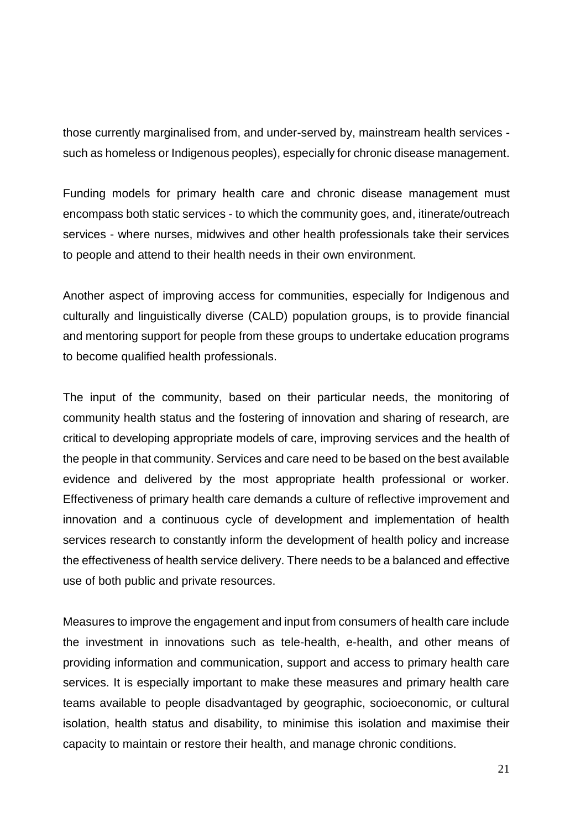those currently marginalised from, and under-served by, mainstream health services such as homeless or Indigenous peoples), especially for chronic disease management.

Funding models for primary health care and chronic disease management must encompass both static services - to which the community goes, and, itinerate/outreach services - where nurses, midwives and other health professionals take their services to people and attend to their health needs in their own environment.

Another aspect of improving access for communities, especially for Indigenous and culturally and linguistically diverse (CALD) population groups, is to provide financial and mentoring support for people from these groups to undertake education programs to become qualified health professionals.

The input of the community, based on their particular needs, the monitoring of community health status and the fostering of innovation and sharing of research, are critical to developing appropriate models of care, improving services and the health of the people in that community. Services and care need to be based on the best available evidence and delivered by the most appropriate health professional or worker. Effectiveness of primary health care demands a culture of reflective improvement and innovation and a continuous cycle of development and implementation of health services research to constantly inform the development of health policy and increase the effectiveness of health service delivery. There needs to be a balanced and effective use of both public and private resources.

Measures to improve the engagement and input from consumers of health care include the investment in innovations such as tele-health, e-health, and other means of providing information and communication, support and access to primary health care services. It is especially important to make these measures and primary health care teams available to people disadvantaged by geographic, socioeconomic, or cultural isolation, health status and disability, to minimise this isolation and maximise their capacity to maintain or restore their health, and manage chronic conditions.

21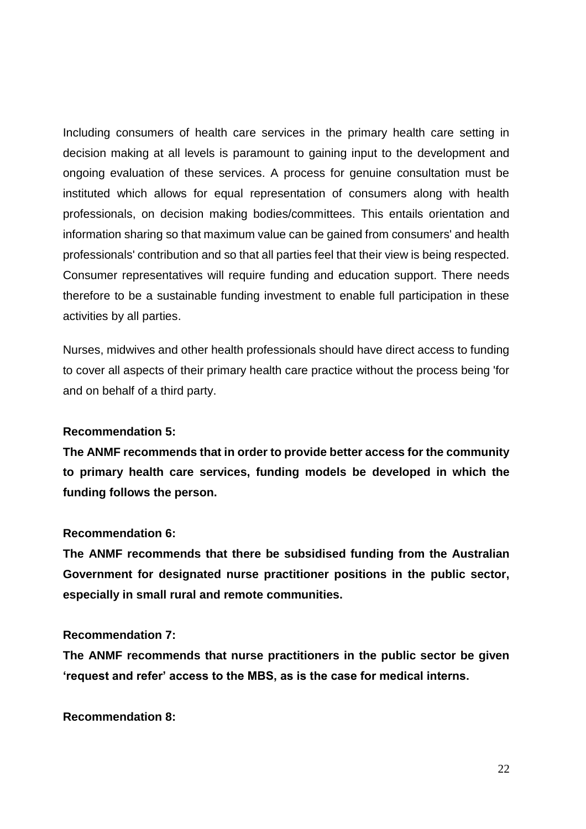Including consumers of health care services in the primary health care setting in decision making at all levels is paramount to gaining input to the development and ongoing evaluation of these services. A process for genuine consultation must be instituted which allows for equal representation of consumers along with health professionals, on decision making bodies/committees. This entails orientation and information sharing so that maximum value can be gained from consumers' and health professionals' contribution and so that all parties feel that their view is being respected. Consumer representatives will require funding and education support. There needs therefore to be a sustainable funding investment to enable full participation in these activities by all parties.

Nurses, midwives and other health professionals should have direct access to funding to cover all aspects of their primary health care practice without the process being 'for and on behalf of a third party.

### **Recommendation 5:**

**The ANMF recommends that in order to provide better access for the community to primary health care services, funding models be developed in which the funding follows the person.**

### **Recommendation 6:**

**The ANMF recommends that there be subsidised funding from the Australian Government for designated nurse practitioner positions in the public sector, especially in small rural and remote communities.**

### **Recommendation 7:**

**The ANMF recommends that nurse practitioners in the public sector be given 'request and refer' access to the MBS, as is the case for medical interns.** 

**Recommendation 8:**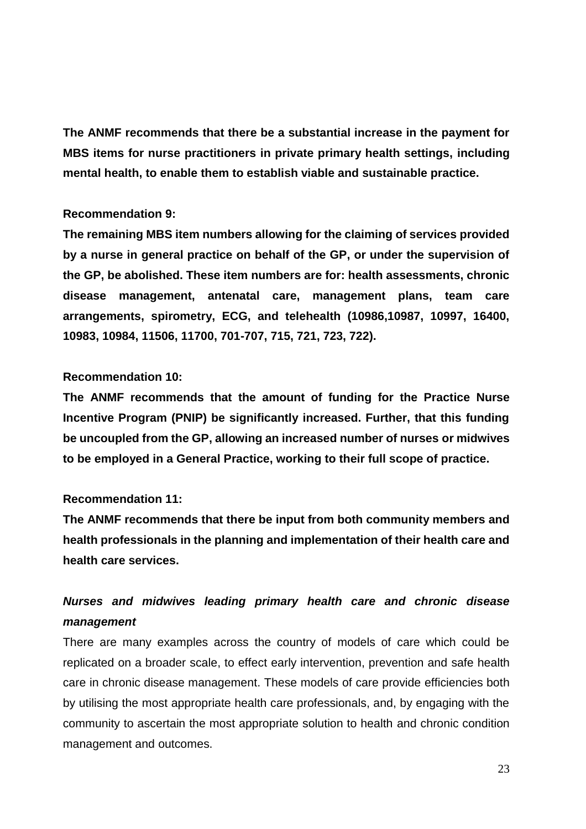**The ANMF recommends that there be a substantial increase in the payment for MBS items for nurse practitioners in private primary health settings, including mental health, to enable them to establish viable and sustainable practice.**

### **Recommendation 9:**

**The remaining MBS item numbers allowing for the claiming of services provided by a nurse in general practice on behalf of the GP, or under the supervision of the GP, be abolished. These item numbers are for: health assessments, chronic disease management, antenatal care, management plans, team care arrangements, spirometry, ECG, and telehealth (10986,10987, 10997, 16400, 10983, 10984, 11506, 11700, 701-707, 715, 721, 723, 722).**

### **Recommendation 10:**

**The ANMF recommends that the amount of funding for the Practice Nurse Incentive Program (PNIP) be significantly increased. Further, that this funding be uncoupled from the GP, allowing an increased number of nurses or midwives to be employed in a General Practice, working to their full scope of practice.**

# **Recommendation 11:**

**The ANMF recommends that there be input from both community members and health professionals in the planning and implementation of their health care and health care services.**

# *Nurses and midwives leading primary health care and chronic disease management*

There are many examples across the country of models of care which could be replicated on a broader scale, to effect early intervention, prevention and safe health care in chronic disease management. These models of care provide efficiencies both by utilising the most appropriate health care professionals, and, by engaging with the community to ascertain the most appropriate solution to health and chronic condition management and outcomes.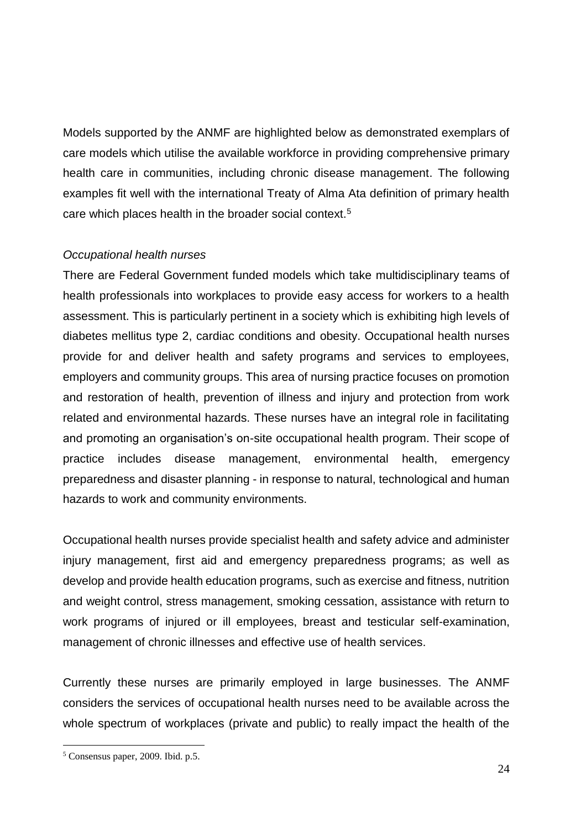Models supported by the ANMF are highlighted below as demonstrated exemplars of care models which utilise the available workforce in providing comprehensive primary health care in communities, including chronic disease management. The following examples fit well with the international Treaty of Alma Ata definition of primary health care which places health in the broader social context.<sup>5</sup>

### *Occupational health nurses*

There are Federal Government funded models which take multidisciplinary teams of health professionals into workplaces to provide easy access for workers to a health assessment. This is particularly pertinent in a society which is exhibiting high levels of diabetes mellitus type 2, cardiac conditions and obesity. Occupational health nurses provide for and deliver health and safety programs and services to employees, employers and community groups. This area of nursing practice focuses on promotion and restoration of health, prevention of illness and injury and protection from work related and environmental hazards. These nurses have an integral role in facilitating and promoting an organisation's on-site occupational health program. Their scope of practice includes disease management, environmental health, emergency preparedness and disaster planning - in response to natural, technological and human hazards to work and community environments.

Occupational health nurses provide specialist health and safety advice and administer injury management, first aid and emergency preparedness programs; as well as develop and provide health education programs, such as exercise and fitness, nutrition and weight control, stress management, smoking cessation, assistance with return to work programs of injured or ill employees, breast and testicular self-examination, management of chronic illnesses and effective use of health services.

Currently these nurses are primarily employed in large businesses. The ANMF considers the services of occupational health nurses need to be available across the whole spectrum of workplaces (private and public) to really impact the health of the

 $\overline{a}$ 

<sup>5</sup> Consensus paper, 2009. Ibid. p.5.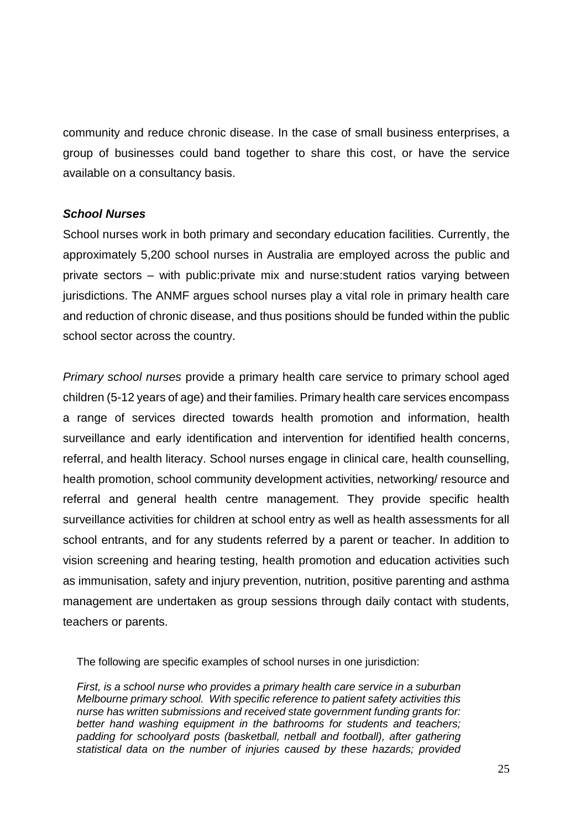community and reduce chronic disease. In the case of small business enterprises, a group of businesses could band together to share this cost, or have the service available on a consultancy basis.

### *School Nurses*

School nurses work in both primary and secondary education facilities. Currently, the approximately 5,200 school nurses in Australia are employed across the public and private sectors – with public:private mix and nurse:student ratios varying between jurisdictions. The ANMF argues school nurses play a vital role in primary health care and reduction of chronic disease, and thus positions should be funded within the public school sector across the country.

*Primary school nurses* provide a primary health care service to primary school aged children (5-12 years of age) and their families. Primary health care services encompass a range of services directed towards health promotion and information, health surveillance and early identification and intervention for identified health concerns, referral, and health literacy. School nurses engage in clinical care, health counselling, health promotion, school community development activities, networking/ resource and referral and general health centre management. They provide specific health surveillance activities for children at school entry as well as health assessments for all school entrants, and for any students referred by a parent or teacher. In addition to vision screening and hearing testing, health promotion and education activities such as immunisation, safety and injury prevention, nutrition, positive parenting and asthma management are undertaken as group sessions through daily contact with students, teachers or parents.

The following are specific examples of school nurses in one jurisdiction:

*First, is a school nurse who provides a primary health care service in a suburban Melbourne primary school. With specific reference to patient safety activities this nurse has written submissions and received state government funding grants for: better hand washing equipment in the bathrooms for students and teachers; padding for schoolyard posts (basketball, netball and football), after gathering statistical data on the number of injuries caused by these hazards; provided*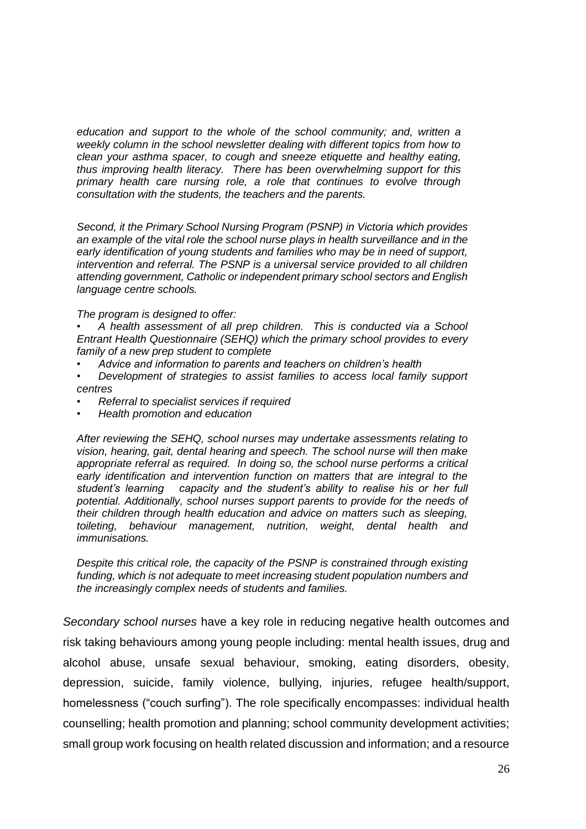*education and support to the whole of the school community; and, written a weekly column in the school newsletter dealing with different topics from how to clean your asthma spacer, to cough and sneeze etiquette and healthy eating, thus improving health literacy. There has been overwhelming support for this primary health care nursing role, a role that continues to evolve through consultation with the students, the teachers and the parents.*

*Second, it the Primary School Nursing Program (PSNP) in Victoria which provides an example of the vital role the school nurse plays in health surveillance and in the early identification of young students and families who may be in need of support, intervention and referral. The PSNP is a universal service provided to all children attending government, Catholic or independent primary school sectors and English language centre schools.*

*The program is designed to offer:*

• *A health assessment of all prep children. This is conducted via a School Entrant Health Questionnaire (SEHQ) which the primary school provides to every family of a new prep student to complete*

- *Advice and information to parents and teachers on children's health*
- *Development of strategies to assist families to access local family support centres*
- *Referral to specialist services if required*
- *Health promotion and education*

*After reviewing the SEHQ, school nurses may undertake assessments relating to vision, hearing, gait, dental hearing and speech. The school nurse will then make appropriate referral as required. In doing so, the school nurse performs a critical early identification and intervention function on matters that are integral to the student's learning capacity and the student's ability to realise his or her full potential. Additionally, school nurses support parents to provide for the needs of their children through health education and advice on matters such as sleeping, toileting, behaviour management, nutrition, weight, dental health and immunisations.*

*Despite this critical role, the capacity of the PSNP is constrained through existing funding, which is not adequate to meet increasing student population numbers and the increasingly complex needs of students and families.* 

*Secondary school nurses* have a key role in reducing negative health outcomes and risk taking behaviours among young people including: mental health issues, drug and alcohol abuse, unsafe sexual behaviour, smoking, eating disorders, obesity, depression, suicide, family violence, bullying, injuries, refugee health/support, homelessness ("couch surfing"). The role specifically encompasses: individual health counselling; health promotion and planning; school community development activities; small group work focusing on health related discussion and information; and a resource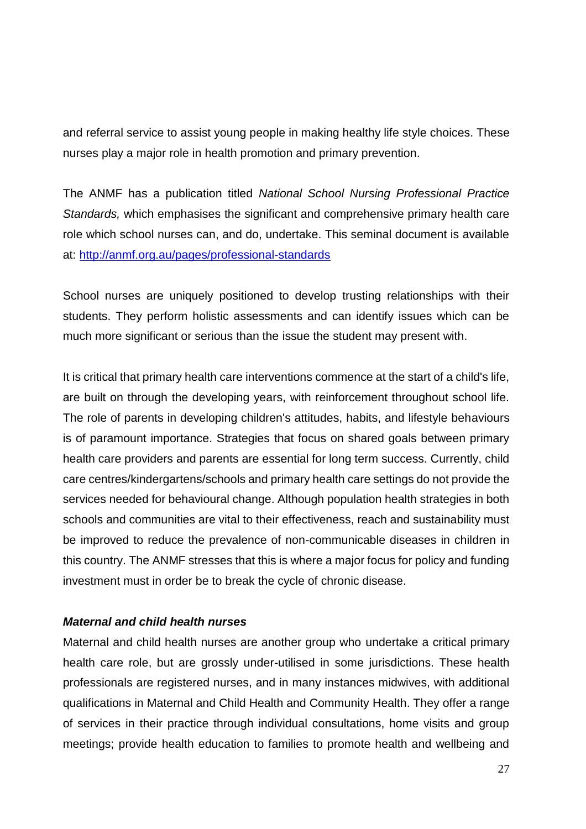and referral service to assist young people in making healthy life style choices. These nurses play a major role in health promotion and primary prevention.

The ANMF has a publication titled *National School Nursing Professional Practice Standards,* which emphasises the significant and comprehensive primary health care role which school nurses can, and do, undertake. This seminal document is available at:<http://anmf.org.au/pages/professional-standards>

School nurses are uniquely positioned to develop trusting relationships with their students. They perform holistic assessments and can identify issues which can be much more significant or serious than the issue the student may present with.

It is critical that primary health care interventions commence at the start of a child's life, are built on through the developing years, with reinforcement throughout school life. The role of parents in developing children's attitudes, habits, and lifestyle behaviours is of paramount importance. Strategies that focus on shared goals between primary health care providers and parents are essential for long term success. Currently, child care centres/kindergartens/schools and primary health care settings do not provide the services needed for behavioural change. Although population health strategies in both schools and communities are vital to their effectiveness, reach and sustainability must be improved to reduce the prevalence of non-communicable diseases in children in this country. The ANMF stresses that this is where a major focus for policy and funding investment must in order be to break the cycle of chronic disease.

### *Maternal and child health nurses*

Maternal and child health nurses are another group who undertake a critical primary health care role, but are grossly under-utilised in some jurisdictions. These health professionals are registered nurses, and in many instances midwives, with additional qualifications in Maternal and Child Health and Community Health. They offer a range of services in their practice through individual consultations, home visits and group meetings; provide health education to families to promote health and wellbeing and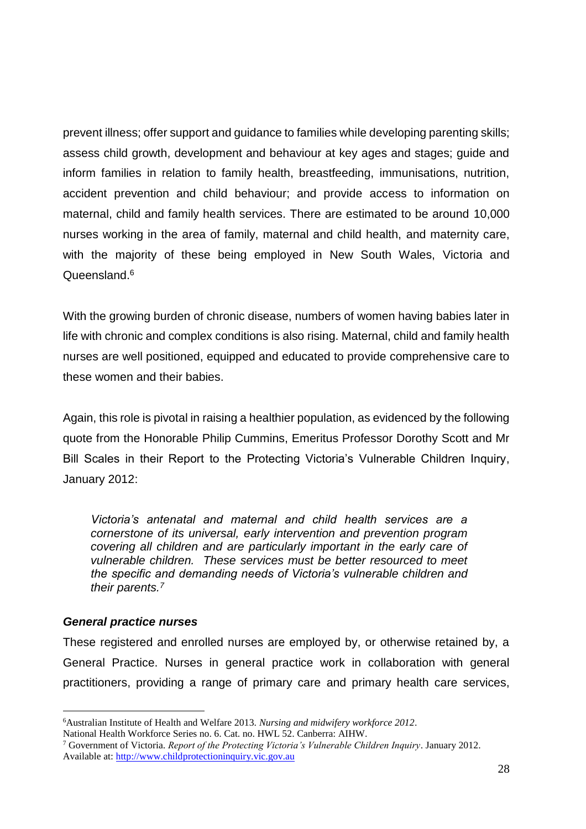prevent illness; offer support and guidance to families while developing parenting skills; assess child growth, development and behaviour at key ages and stages; guide and inform families in relation to family health, breastfeeding, immunisations, nutrition, accident prevention and child behaviour; and provide access to information on maternal, child and family health services. There are estimated to be around 10,000 nurses working in the area of family, maternal and child health, and maternity care, with the majority of these being employed in New South Wales, Victoria and Queensland.<sup>6</sup>

With the growing burden of chronic disease, numbers of women having babies later in life with chronic and complex conditions is also rising. Maternal, child and family health nurses are well positioned, equipped and educated to provide comprehensive care to these women and their babies.

Again, this role is pivotal in raising a healthier population, as evidenced by the following quote from the Honorable Philip Cummins, Emeritus Professor Dorothy Scott and Mr Bill Scales in their Report to the Protecting Victoria's Vulnerable Children Inquiry, January 2012:

*Victoria's antenatal and maternal and child health services are a cornerstone of its universal, early intervention and prevention program covering all children and are particularly important in the early care of vulnerable children. These services must be better resourced to meet the specific and demanding needs of Victoria's vulnerable children and their parents.<sup>7</sup>*

### *General practice nurses*

 $\overline{a}$ 

These registered and enrolled nurses are employed by, or otherwise retained by, a General Practice. Nurses in general practice work in collaboration with general practitioners, providing a range of primary care and primary health care services,

<sup>6</sup>Australian Institute of Health and Welfare 2013. *Nursing and midwifery workforce 2012*.

National Health Workforce Series no. 6. Cat. no. HWL 52. Canberra: AIHW.

<sup>7</sup> Government of Victoria. *Report of the Protecting Victoria's Vulnerable Children Inquiry*. January 2012. Available at[: http://www.childprotectioninquiry.vic.gov.au](http://www.childprotectioninquiry.vic.gov.au/)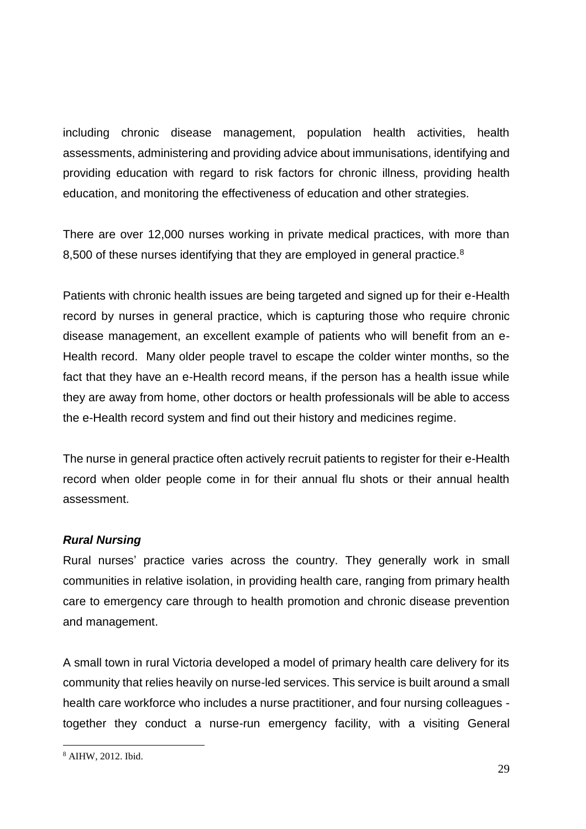including chronic disease management, population health activities, health assessments, administering and providing advice about immunisations, identifying and providing education with regard to risk factors for chronic illness, providing health education, and monitoring the effectiveness of education and other strategies.

There are over 12,000 nurses working in private medical practices, with more than 8,500 of these nurses identifying that they are employed in general practice.<sup>8</sup>

Patients with chronic health issues are being targeted and signed up for their e-Health record by nurses in general practice, which is capturing those who require chronic disease management, an excellent example of patients who will benefit from an e-Health record. Many older people travel to escape the colder winter months, so the fact that they have an e-Health record means, if the person has a health issue while they are away from home, other doctors or health professionals will be able to access the e-Health record system and find out their history and medicines regime.

The nurse in general practice often actively recruit patients to register for their e-Health record when older people come in for their annual flu shots or their annual health assessment.

# *Rural Nursing*

Rural nurses' practice varies across the country. They generally work in small communities in relative isolation, in providing health care, ranging from primary health care to emergency care through to health promotion and chronic disease prevention and management.

A small town in rural Victoria developed a model of primary health care delivery for its community that relies heavily on nurse-led services. This service is built around a small health care workforce who includes a nurse practitioner, and four nursing colleagues together they conduct a nurse-run emergency facility, with a visiting General

 $\overline{a}$ 

<sup>8</sup> AIHW, 2012. Ibid.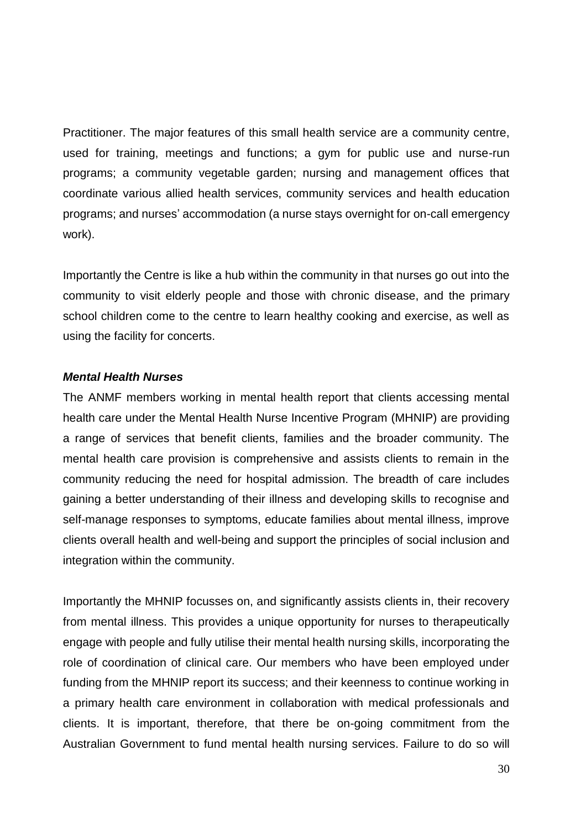Practitioner. The major features of this small health service are a community centre, used for training, meetings and functions; a gym for public use and nurse-run programs; a community vegetable garden; nursing and management offices that coordinate various allied health services, community services and health education programs; and nurses' accommodation (a nurse stays overnight for on-call emergency work).

Importantly the Centre is like a hub within the community in that nurses go out into the community to visit elderly people and those with chronic disease, and the primary school children come to the centre to learn healthy cooking and exercise, as well as using the facility for concerts.

### *Mental Health Nurses*

The ANMF members working in mental health report that clients accessing mental health care under the Mental Health Nurse Incentive Program (MHNIP) are providing a range of services that benefit clients, families and the broader community. The mental health care provision is comprehensive and assists clients to remain in the community reducing the need for hospital admission. The breadth of care includes gaining a better understanding of their illness and developing skills to recognise and self-manage responses to symptoms, educate families about mental illness, improve clients overall health and well-being and support the principles of social inclusion and integration within the community.

Importantly the MHNIP focusses on, and significantly assists clients in, their recovery from mental illness. This provides a unique opportunity for nurses to therapeutically engage with people and fully utilise their mental health nursing skills, incorporating the role of coordination of clinical care. Our members who have been employed under funding from the MHNIP report its success; and their keenness to continue working in a primary health care environment in collaboration with medical professionals and clients. It is important, therefore, that there be on-going commitment from the Australian Government to fund mental health nursing services. Failure to do so will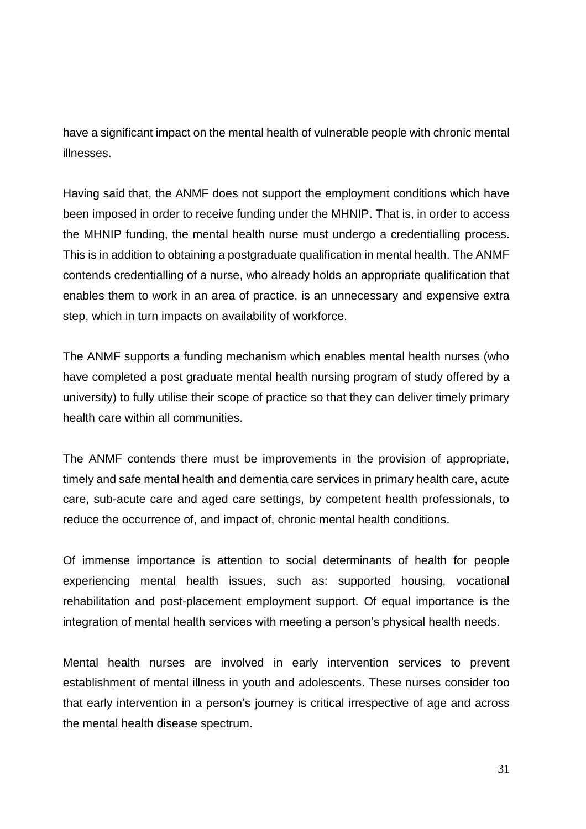have a significant impact on the mental health of vulnerable people with chronic mental illnesses.

Having said that, the ANMF does not support the employment conditions which have been imposed in order to receive funding under the MHNIP. That is, in order to access the MHNIP funding, the mental health nurse must undergo a credentialling process. This is in addition to obtaining a postgraduate qualification in mental health. The ANMF contends credentialling of a nurse, who already holds an appropriate qualification that enables them to work in an area of practice, is an unnecessary and expensive extra step, which in turn impacts on availability of workforce.

The ANMF supports a funding mechanism which enables mental health nurses (who have completed a post graduate mental health nursing program of study offered by a university) to fully utilise their scope of practice so that they can deliver timely primary health care within all communities.

The ANMF contends there must be improvements in the provision of appropriate, timely and safe mental health and dementia care services in primary health care, acute care, sub-acute care and aged care settings, by competent health professionals, to reduce the occurrence of, and impact of, chronic mental health conditions.

Of immense importance is attention to social determinants of health for people experiencing mental health issues, such as: supported housing, vocational rehabilitation and post-placement employment support. Of equal importance is the integration of mental health services with meeting a person's physical health needs.

Mental health nurses are involved in early intervention services to prevent establishment of mental illness in youth and adolescents. These nurses consider too that early intervention in a person's journey is critical irrespective of age and across the mental health disease spectrum.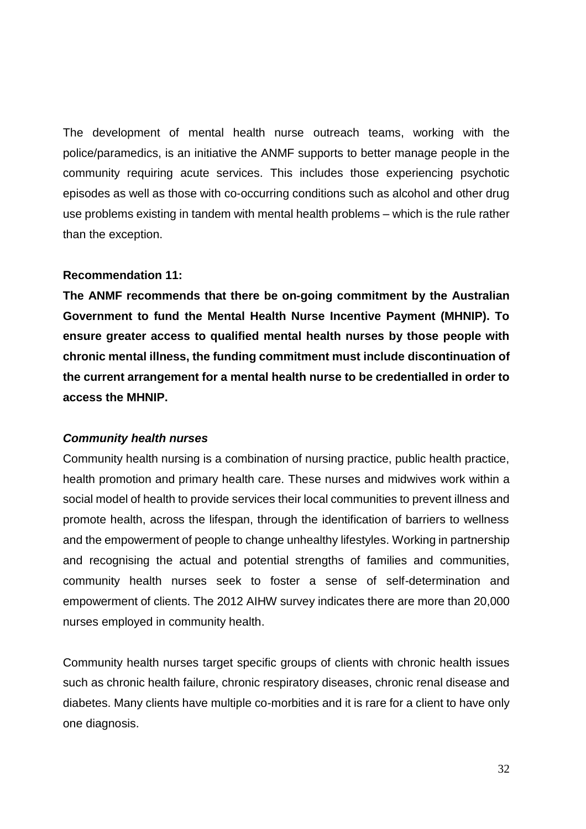The development of mental health nurse outreach teams, working with the police/paramedics, is an initiative the ANMF supports to better manage people in the community requiring acute services. This includes those experiencing psychotic episodes as well as those with co-occurring conditions such as alcohol and other drug use problems existing in tandem with mental health problems – which is the rule rather than the exception.

### **Recommendation 11:**

**The ANMF recommends that there be on-going commitment by the Australian Government to fund the Mental Health Nurse Incentive Payment (MHNIP). To ensure greater access to qualified mental health nurses by those people with chronic mental illness, the funding commitment must include discontinuation of the current arrangement for a mental health nurse to be credentialled in order to access the MHNIP.**

### *Community health nurses*

Community health nursing is a combination of nursing practice, public health practice, health promotion and primary health care. These nurses and midwives work within a social model of health to provide services their local communities to prevent illness and promote health, across the lifespan, through the identification of barriers to wellness and the empowerment of people to change unhealthy lifestyles. Working in partnership and recognising the actual and potential strengths of families and communities, community health nurses seek to foster a sense of self-determination and empowerment of clients. The 2012 AIHW survey indicates there are more than 20,000 nurses employed in community health.

Community health nurses target specific groups of clients with chronic health issues such as chronic health failure, chronic respiratory diseases, chronic renal disease and diabetes. Many clients have multiple co-morbities and it is rare for a client to have only one diagnosis.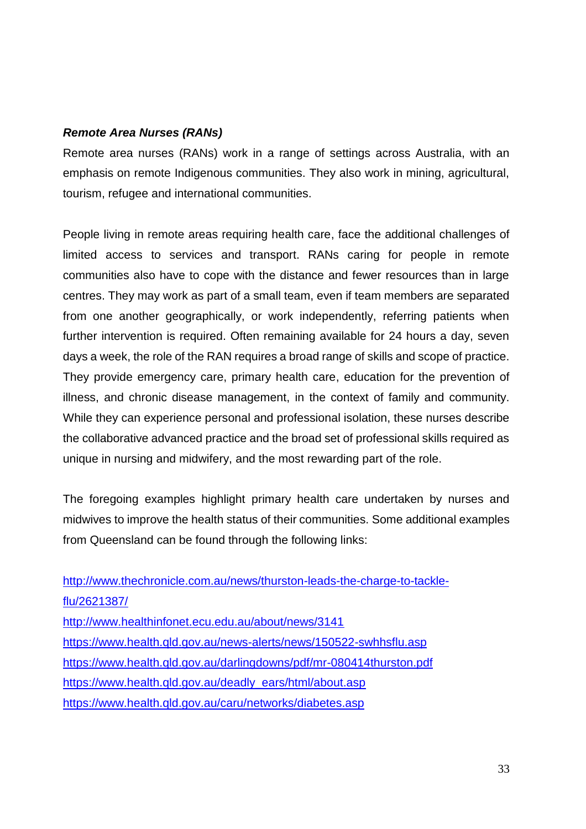## *Remote Area Nurses (RANs)*

Remote area nurses (RANs) work in a range of settings across Australia, with an emphasis on remote Indigenous communities. They also work in mining, agricultural, tourism, refugee and international communities.

People living in remote areas requiring health care, face the additional challenges of limited access to services and transport. RANs caring for people in remote communities also have to cope with the distance and fewer resources than in large centres. They may work as part of a small team, even if team members are separated from one another geographically, or work independently, referring patients when further intervention is required. Often remaining available for 24 hours a day, seven days a week, the role of the RAN requires a broad range of skills and scope of practice. They provide emergency care, primary health care, education for the prevention of illness, and chronic disease management, in the context of family and community. While they can experience personal and professional isolation, these nurses describe the collaborative advanced practice and the broad set of professional skills required as unique in nursing and midwifery, and the most rewarding part of the role.

The foregoing examples highlight primary health care undertaken by nurses and midwives to improve the health status of their communities. Some additional examples from Queensland can be found through the following links:

| http://www.thechronicle.com.au/news/thurston-leads-the-charge-to-tackle- |
|--------------------------------------------------------------------------|
| flu/2621387/                                                             |
| http://www.healthinfonet.ecu.edu.au/about/news/3141                      |
| https://www.health.qld.gov.au/news-alerts/news/150522-swhhsflu.asp       |
| https://www.health.gld.gov.au/darlingdowns/pdf/mr-080414thurston.pdf     |
| https://www.health.qld.gov.au/deadly_ears/html/about.asp                 |
| https://www.health.qld.gov.au/caru/networks/diabetes.asp                 |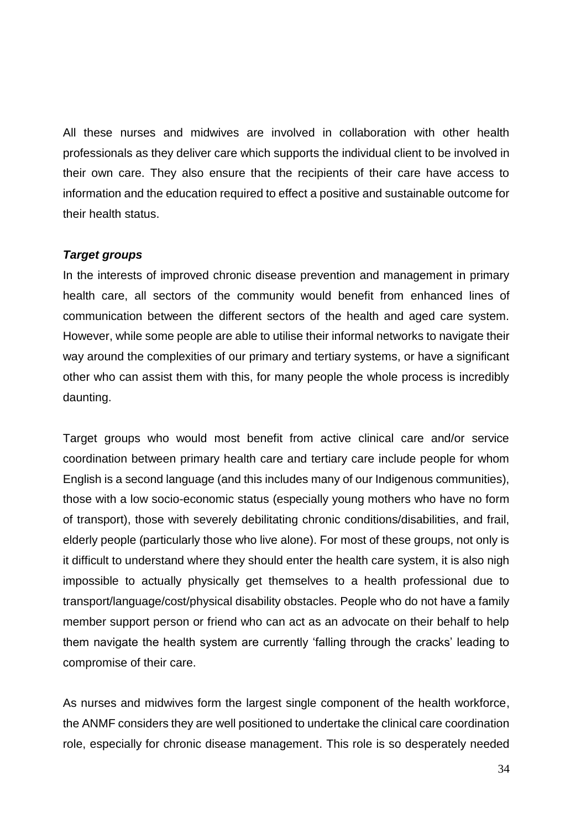All these nurses and midwives are involved in collaboration with other health professionals as they deliver care which supports the individual client to be involved in their own care. They also ensure that the recipients of their care have access to information and the education required to effect a positive and sustainable outcome for their health status.

### *Target groups*

In the interests of improved chronic disease prevention and management in primary health care, all sectors of the community would benefit from enhanced lines of communication between the different sectors of the health and aged care system. However, while some people are able to utilise their informal networks to navigate their way around the complexities of our primary and tertiary systems, or have a significant other who can assist them with this, for many people the whole process is incredibly daunting.

Target groups who would most benefit from active clinical care and/or service coordination between primary health care and tertiary care include people for whom English is a second language (and this includes many of our Indigenous communities), those with a low socio-economic status (especially young mothers who have no form of transport), those with severely debilitating chronic conditions/disabilities, and frail, elderly people (particularly those who live alone). For most of these groups, not only is it difficult to understand where they should enter the health care system, it is also nigh impossible to actually physically get themselves to a health professional due to transport/language/cost/physical disability obstacles. People who do not have a family member support person or friend who can act as an advocate on their behalf to help them navigate the health system are currently 'falling through the cracks' leading to compromise of their care.

As nurses and midwives form the largest single component of the health workforce, the ANMF considers they are well positioned to undertake the clinical care coordination role, especially for chronic disease management. This role is so desperately needed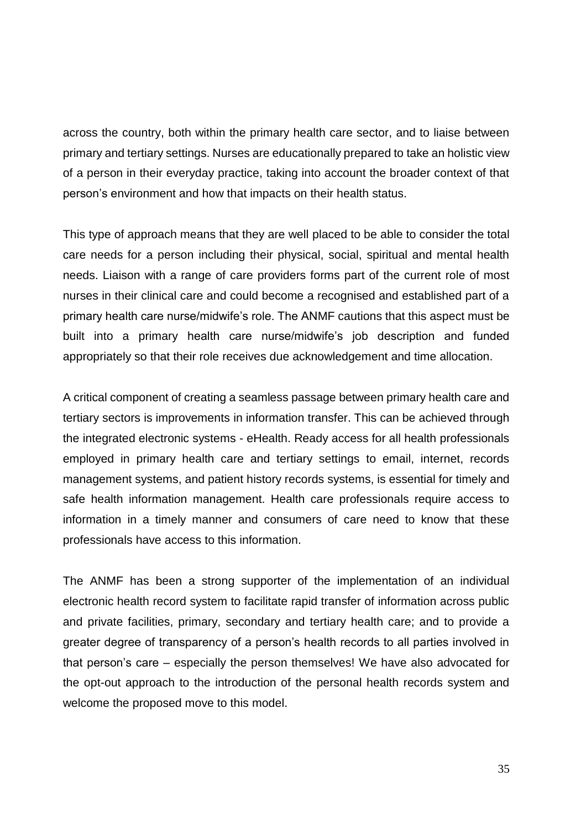across the country, both within the primary health care sector, and to liaise between primary and tertiary settings. Nurses are educationally prepared to take an holistic view of a person in their everyday practice, taking into account the broader context of that person's environment and how that impacts on their health status.

This type of approach means that they are well placed to be able to consider the total care needs for a person including their physical, social, spiritual and mental health needs. Liaison with a range of care providers forms part of the current role of most nurses in their clinical care and could become a recognised and established part of a primary health care nurse/midwife's role. The ANMF cautions that this aspect must be built into a primary health care nurse/midwife's job description and funded appropriately so that their role receives due acknowledgement and time allocation.

A critical component of creating a seamless passage between primary health care and tertiary sectors is improvements in information transfer. This can be achieved through the integrated electronic systems - eHealth. Ready access for all health professionals employed in primary health care and tertiary settings to email, internet, records management systems, and patient history records systems, is essential for timely and safe health information management. Health care professionals require access to information in a timely manner and consumers of care need to know that these professionals have access to this information.

The ANMF has been a strong supporter of the implementation of an individual electronic health record system to facilitate rapid transfer of information across public and private facilities, primary, secondary and tertiary health care; and to provide a greater degree of transparency of a person's health records to all parties involved in that person's care – especially the person themselves! We have also advocated for the opt-out approach to the introduction of the personal health records system and welcome the proposed move to this model.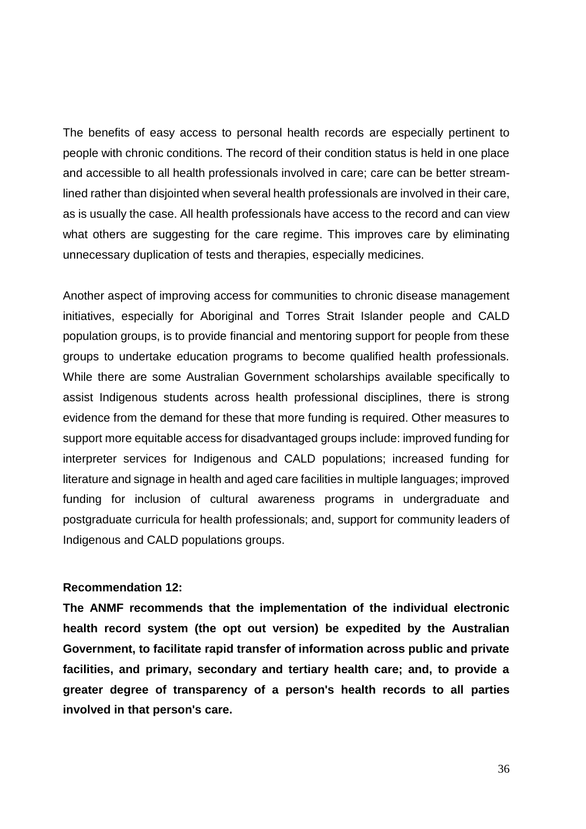The benefits of easy access to personal health records are especially pertinent to people with chronic conditions. The record of their condition status is held in one place and accessible to all health professionals involved in care; care can be better streamlined rather than disjointed when several health professionals are involved in their care, as is usually the case. All health professionals have access to the record and can view what others are suggesting for the care regime. This improves care by eliminating unnecessary duplication of tests and therapies, especially medicines.

Another aspect of improving access for communities to chronic disease management initiatives, especially for Aboriginal and Torres Strait Islander people and CALD population groups, is to provide financial and mentoring support for people from these groups to undertake education programs to become qualified health professionals. While there are some Australian Government scholarships available specifically to assist Indigenous students across health professional disciplines, there is strong evidence from the demand for these that more funding is required. Other measures to support more equitable access for disadvantaged groups include: improved funding for interpreter services for Indigenous and CALD populations; increased funding for literature and signage in health and aged care facilities in multiple languages; improved funding for inclusion of cultural awareness programs in undergraduate and postgraduate curricula for health professionals; and, support for community leaders of Indigenous and CALD populations groups.

### **Recommendation 12:**

**The ANMF recommends that the implementation of the individual electronic health record system (the opt out version) be expedited by the Australian Government, to facilitate rapid transfer of information across public and private facilities, and primary, secondary and tertiary health care; and, to provide a greater degree of transparency of a person's health records to all parties involved in that person's care.**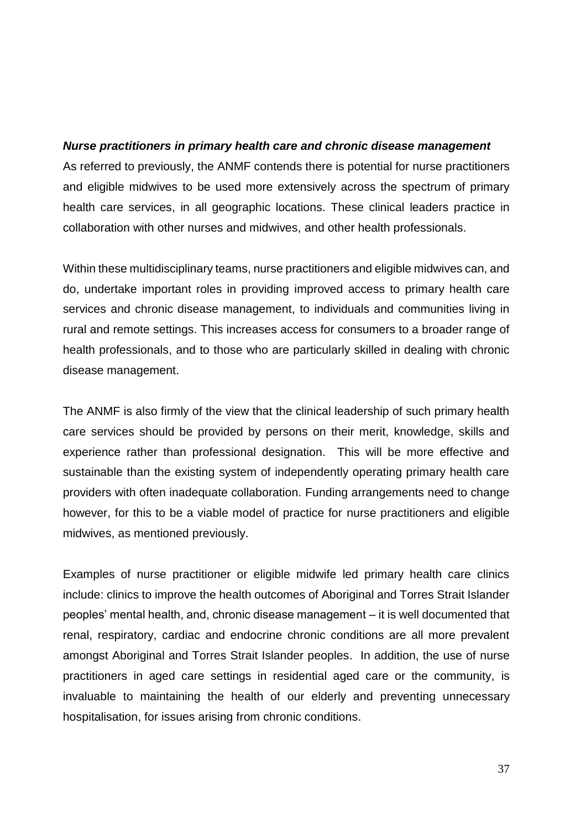### *Nurse practitioners in primary health care and chronic disease management*

As referred to previously, the ANMF contends there is potential for nurse practitioners and eligible midwives to be used more extensively across the spectrum of primary health care services, in all geographic locations. These clinical leaders practice in collaboration with other nurses and midwives, and other health professionals.

Within these multidisciplinary teams, nurse practitioners and eligible midwives can, and do, undertake important roles in providing improved access to primary health care services and chronic disease management, to individuals and communities living in rural and remote settings. This increases access for consumers to a broader range of health professionals, and to those who are particularly skilled in dealing with chronic disease management.

The ANMF is also firmly of the view that the clinical leadership of such primary health care services should be provided by persons on their merit, knowledge, skills and experience rather than professional designation. This will be more effective and sustainable than the existing system of independently operating primary health care providers with often inadequate collaboration. Funding arrangements need to change however, for this to be a viable model of practice for nurse practitioners and eligible midwives, as mentioned previously.

Examples of nurse practitioner or eligible midwife led primary health care clinics include: clinics to improve the health outcomes of Aboriginal and Torres Strait Islander peoples' mental health, and, chronic disease management – it is well documented that renal, respiratory, cardiac and endocrine chronic conditions are all more prevalent amongst Aboriginal and Torres Strait Islander peoples. In addition, the use of nurse practitioners in aged care settings in residential aged care or the community, is invaluable to maintaining the health of our elderly and preventing unnecessary hospitalisation, for issues arising from chronic conditions.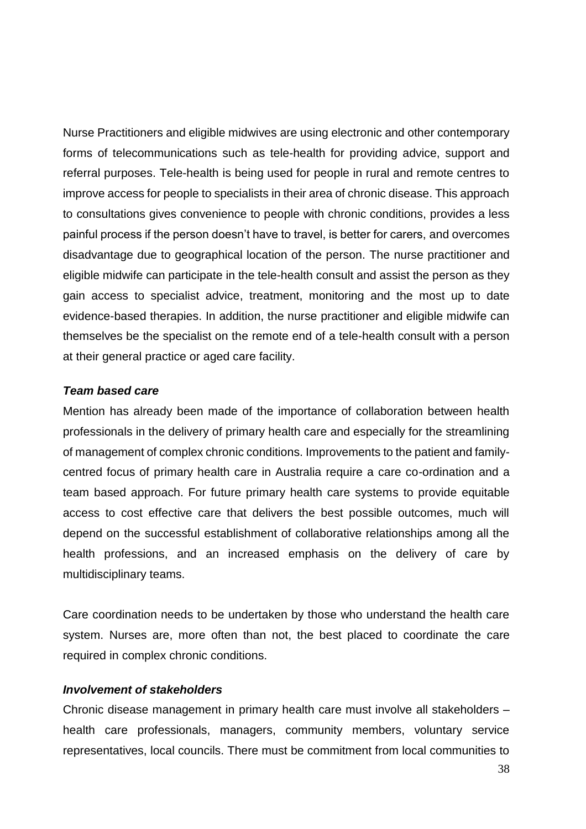Nurse Practitioners and eligible midwives are using electronic and other contemporary forms of telecommunications such as tele-health for providing advice, support and referral purposes. Tele-health is being used for people in rural and remote centres to improve access for people to specialists in their area of chronic disease. This approach to consultations gives convenience to people with chronic conditions, provides a less painful process if the person doesn't have to travel, is better for carers, and overcomes disadvantage due to geographical location of the person. The nurse practitioner and eligible midwife can participate in the tele-health consult and assist the person as they gain access to specialist advice, treatment, monitoring and the most up to date evidence-based therapies. In addition, the nurse practitioner and eligible midwife can themselves be the specialist on the remote end of a tele-health consult with a person at their general practice or aged care facility.

### *Team based care*

Mention has already been made of the importance of collaboration between health professionals in the delivery of primary health care and especially for the streamlining of management of complex chronic conditions. Improvements to the patient and familycentred focus of primary health care in Australia require a care co-ordination and a team based approach. For future primary health care systems to provide equitable access to cost effective care that delivers the best possible outcomes, much will depend on the successful establishment of collaborative relationships among all the health professions, and an increased emphasis on the delivery of care by multidisciplinary teams.

Care coordination needs to be undertaken by those who understand the health care system. Nurses are, more often than not, the best placed to coordinate the care required in complex chronic conditions.

### *Involvement of stakeholders*

Chronic disease management in primary health care must involve all stakeholders – health care professionals, managers, community members, voluntary service representatives, local councils. There must be commitment from local communities to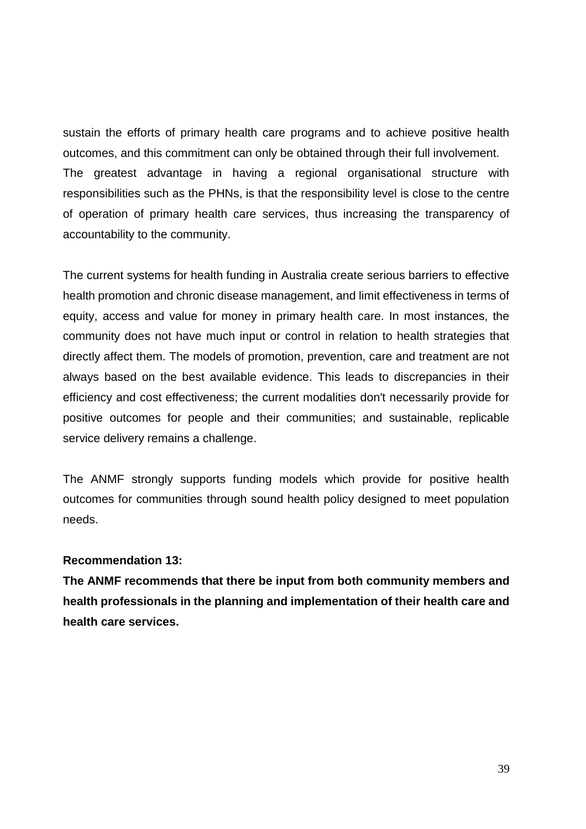sustain the efforts of primary health care programs and to achieve positive health outcomes, and this commitment can only be obtained through their full involvement. The greatest advantage in having a regional organisational structure with responsibilities such as the PHNs, is that the responsibility level is close to the centre of operation of primary health care services, thus increasing the transparency of accountability to the community.

The current systems for health funding in Australia create serious barriers to effective health promotion and chronic disease management, and limit effectiveness in terms of equity, access and value for money in primary health care. In most instances, the community does not have much input or control in relation to health strategies that directly affect them. The models of promotion, prevention, care and treatment are not always based on the best available evidence. This leads to discrepancies in their efficiency and cost effectiveness; the current modalities don't necessarily provide for positive outcomes for people and their communities; and sustainable, replicable service delivery remains a challenge.

The ANMF strongly supports funding models which provide for positive health outcomes for communities through sound health policy designed to meet population needs.

### **Recommendation 13:**

**The ANMF recommends that there be input from both community members and health professionals in the planning and implementation of their health care and health care services.**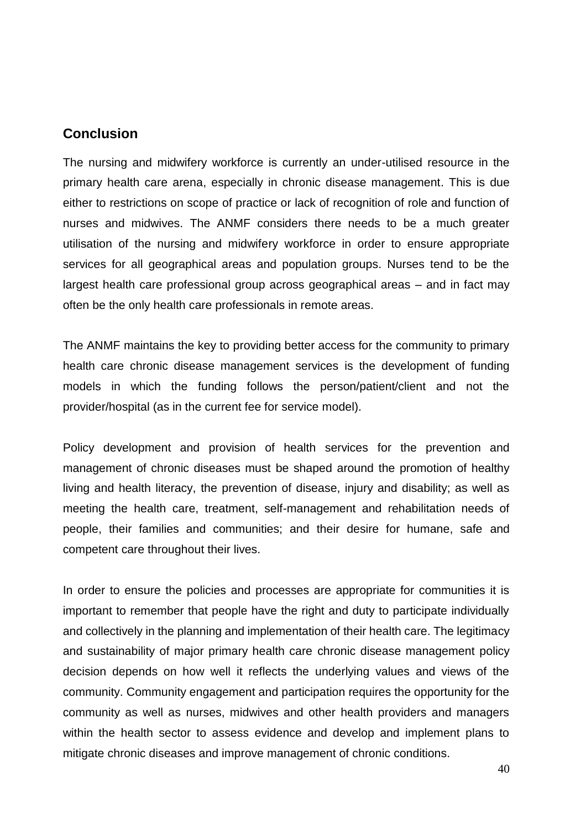# **Conclusion**

The nursing and midwifery workforce is currently an under-utilised resource in the primary health care arena, especially in chronic disease management. This is due either to restrictions on scope of practice or lack of recognition of role and function of nurses and midwives. The ANMF considers there needs to be a much greater utilisation of the nursing and midwifery workforce in order to ensure appropriate services for all geographical areas and population groups. Nurses tend to be the largest health care professional group across geographical areas – and in fact may often be the only health care professionals in remote areas.

The ANMF maintains the key to providing better access for the community to primary health care chronic disease management services is the development of funding models in which the funding follows the person/patient/client and not the provider/hospital (as in the current fee for service model).

Policy development and provision of health services for the prevention and management of chronic diseases must be shaped around the promotion of healthy living and health literacy, the prevention of disease, injury and disability; as well as meeting the health care, treatment, self-management and rehabilitation needs of people, their families and communities; and their desire for humane, safe and competent care throughout their lives.

In order to ensure the policies and processes are appropriate for communities it is important to remember that people have the right and duty to participate individually and collectively in the planning and implementation of their health care. The legitimacy and sustainability of major primary health care chronic disease management policy decision depends on how well it reflects the underlying values and views of the community. Community engagement and participation requires the opportunity for the community as well as nurses, midwives and other health providers and managers within the health sector to assess evidence and develop and implement plans to mitigate chronic diseases and improve management of chronic conditions.